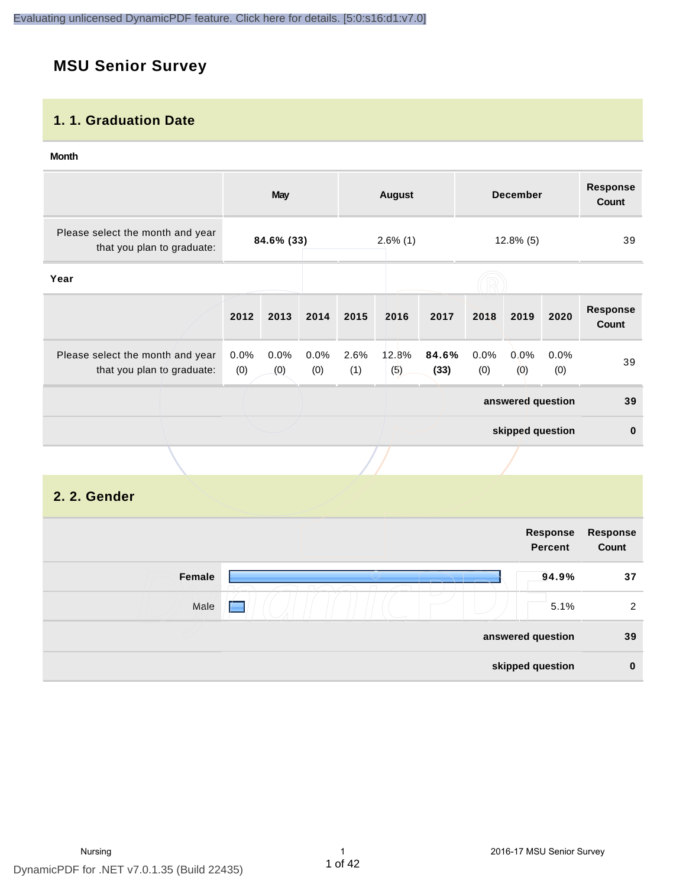# **MSU Senior Survey**

#### **1. 1. Graduation Date**

#### **Month**

|                                                                |             | <b>May</b>  |                  |                             | <b>August</b> |               |             | <b>December</b>   |             | <b>Response</b><br><b>Count</b> |
|----------------------------------------------------------------|-------------|-------------|------------------|-----------------------------|---------------|---------------|-------------|-------------------|-------------|---------------------------------|
| Please select the month and year<br>that you plan to graduate: | 84.6% (33)  |             |                  | $2.6\%$ (1)<br>$12.8\%$ (5) |               |               | 39          |                   |             |                                 |
| Year                                                           |             |             |                  |                             |               |               |             |                   |             |                                 |
|                                                                | 2012        | 2013        | 2014             | 2015                        | 2016          | 2017          | 2018        | 2019              | 2020        | <b>Response</b><br>Count        |
| Please select the month and year<br>that you plan to graduate: | 0.0%<br>(0) | 0.0%<br>(0) | $0.0\%$<br>(0)   | 2.6%<br>(1)                 | 12.8%<br>(5)  | 84.6%<br>(33) | 0.0%<br>(0) | $0.0\%$<br>(0)    | 0.0%<br>(0) | 39                              |
|                                                                |             |             |                  |                             |               |               |             | answered question |             | 39                              |
|                                                                |             |             | skipped question |                             |               | $\mathbf{0}$  |             |                   |             |                                 |
|                                                                |             |             |                  |                             |               |               |             |                   |             |                                 |

## **2. 2. Gender**

|        | Response<br><b>Percent</b> | Response<br>Count |
|--------|----------------------------|-------------------|
| Female | 94.9%                      | 37                |
| Male   | 5.1%<br>$\sqrt{2}$         | 2                 |
|        | answered question          | 39                |
|        | skipped question           | $\bf{0}$          |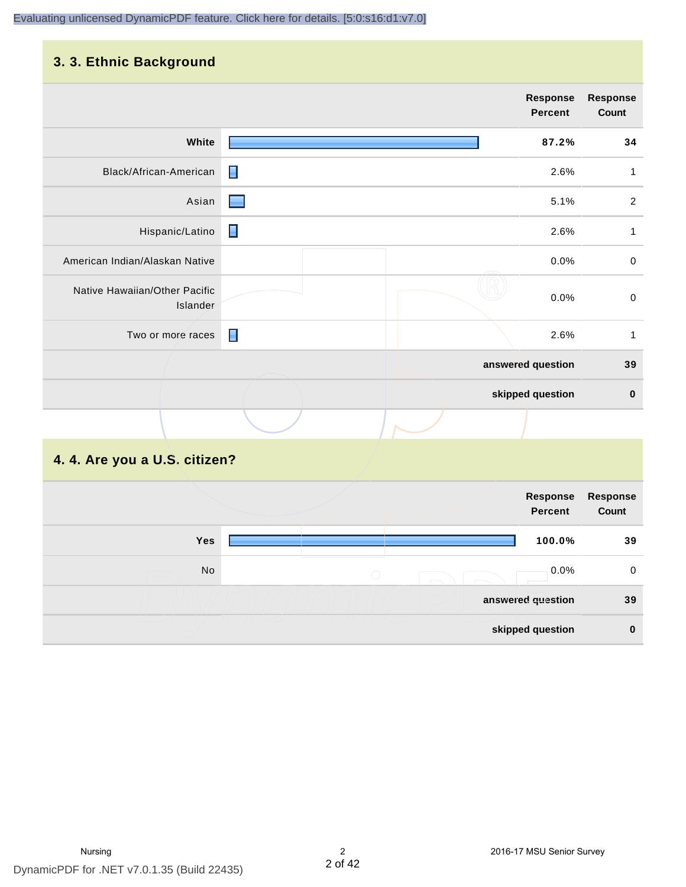# **3. 3. Ethnic Background**

| $\tilde{\phantom{a}}$                     |                |                            |                          |
|-------------------------------------------|----------------|----------------------------|--------------------------|
|                                           |                | <b>Response</b><br>Percent | <b>Response</b><br>Count |
| White                                     |                | 87.2%                      | 34                       |
| Black/African-American                    | $\blacksquare$ | 2.6%                       | 1                        |
| Asian                                     |                | 5.1%                       | $\overline{2}$           |
| Hispanic/Latino                           | п              | 2.6%                       | $\mathbf{1}$             |
| American Indian/Alaskan Native            |                | 0.0%                       | $\pmb{0}$                |
| Native Hawaiian/Other Pacific<br>Islander |                | 0.0%                       | $\mathbf 0$              |
| Two or more races                         | Π              | 2.6%                       | $\mathbf{1}$             |
|                                           |                | answered question          | 39                       |
|                                           |                | skipped question           | $\pmb{0}$                |
|                                           |                |                            |                          |

# **4. 4. Are you a U.S. citizen?**

|     |            | Response<br>Percent | <b>Response</b><br>Count |
|-----|------------|---------------------|--------------------------|
| Yes |            | 100.0%              | 39                       |
| No  | $\bigcirc$ | 0.0%                | 0                        |
|     |            | answered question   | 39                       |
|     |            | skipped question    | $\bf{0}$                 |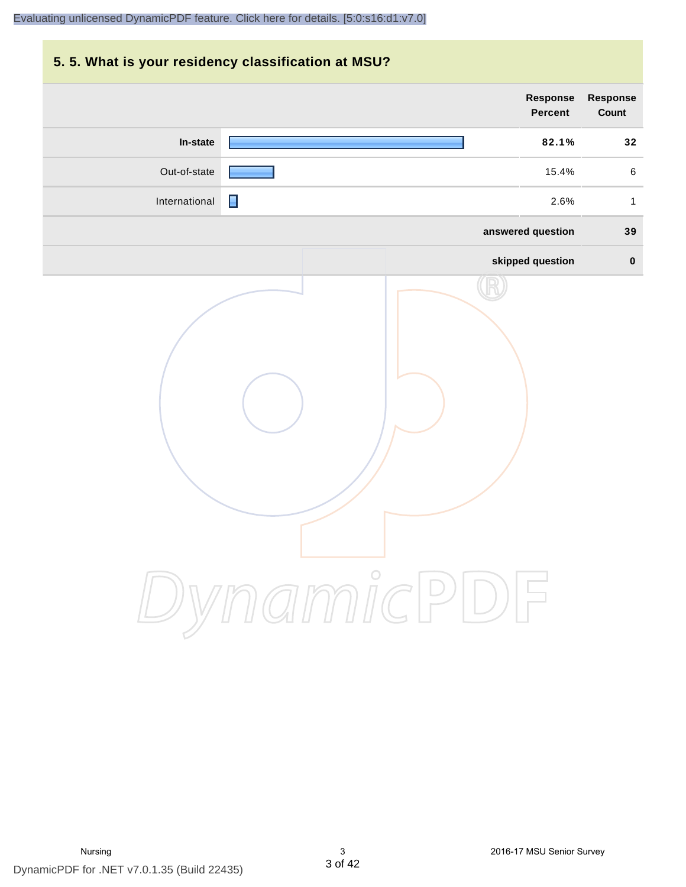# **5. 5. What is your residency classification at MSU? Response Response Percent Count In-state 82.1% 32** Out-of-state **15.4%** 6 International **1** 2.6% 1 **answered question 39 skipped question 0** DynamicPDF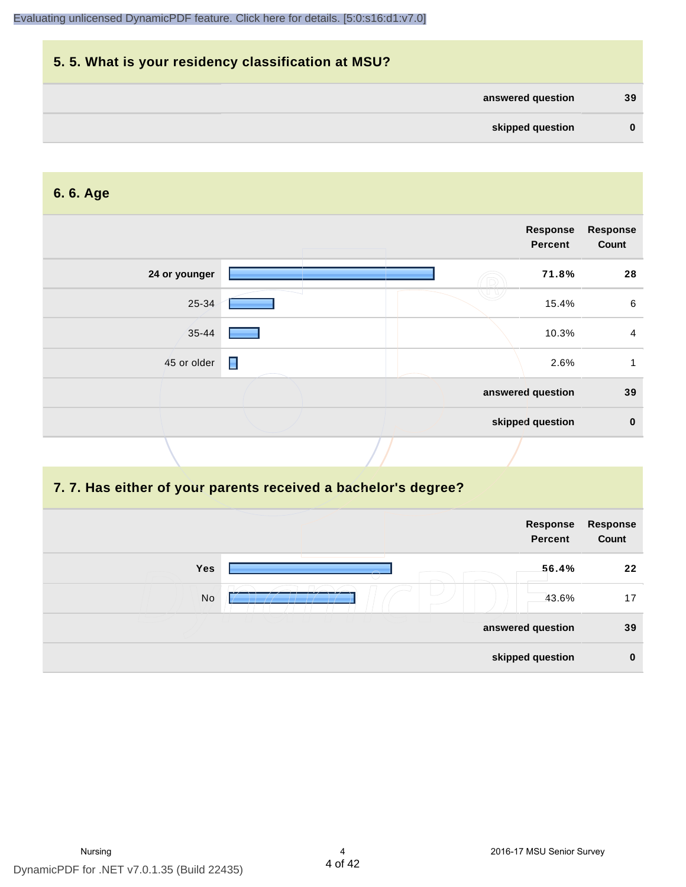|          |                   | 5.5. What is your residency classification at MSU? |
|----------|-------------------|----------------------------------------------------|
| 39       | answered question |                                                    |
| $\bf{0}$ | skipped question  |                                                    |

#### **6. 6. Age**

|               |                | Response<br><b>Percent</b> | <b>Response</b><br>Count |
|---------------|----------------|----------------------------|--------------------------|
| 24 or younger |                | 71.8%                      | 28                       |
| 25-34         |                | 15.4%                      | $\,6\,$                  |
| 35-44         |                | 10.3%                      | $\overline{4}$           |
| 45 or older   | $\blacksquare$ | 2.6%                       |                          |
|               |                | answered question          | 39                       |
|               |                | skipped question           | $\mathbf 0$              |

# **7. 7. Has either of your parents received a bachelor's degree?**

|     | Response<br><b>Percent</b> | Response<br>Count |
|-----|----------------------------|-------------------|
| Yes | 56.4%                      | 22                |
| No  | 43.6%                      | 17                |
|     | answered question          | 39                |
|     | skipped question           | $\bf{0}$          |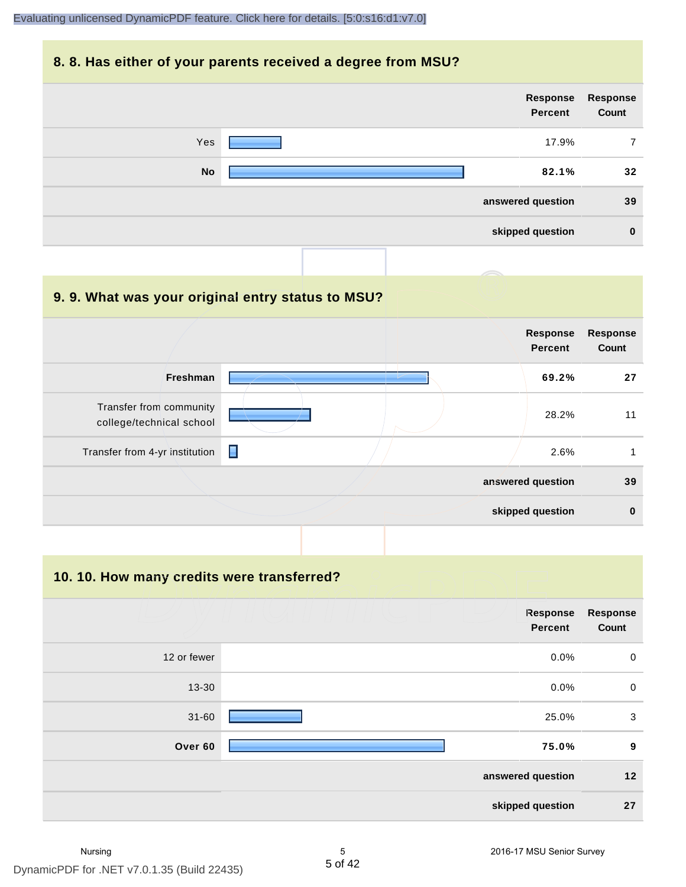#### **8. 8. Has either of your parents received a degree from MSU?**

|           | Response<br>Percent | Response<br>Count |
|-----------|---------------------|-------------------|
| Yes       | 17.9%               | 7                 |
| <b>No</b> | 82.1%               | 32                |
|           | answered question   | 39                |
|           | skipped question    | $\bf{0}$          |

| 9.9. What was your original entry status to MSU?    |   |                                   |                          |
|-----------------------------------------------------|---|-----------------------------------|--------------------------|
|                                                     |   | <b>Response</b><br><b>Percent</b> | <b>Response</b><br>Count |
| <b>Freshman</b>                                     |   | 69.2%                             | 27                       |
| Transfer from community<br>college/technical school |   | 28.2%                             | 11                       |
| Transfer from 4-yr institution                      | П | 2.6%                              |                          |
|                                                     |   | answered question                 | 39                       |
|                                                     |   | skipped question                  | $\bf{0}$                 |

**10. 10. How many credits were transferred?**

|             | Response<br><b>Percent</b> | <b>Response</b><br>Count |
|-------------|----------------------------|--------------------------|
| 12 or fewer | 0.0%                       | $\mathbf 0$              |
| 13-30       | 0.0%                       | $\mathbf 0$              |
| $31 - 60$   | 25.0%                      | 3                        |
| Over 60     | 75.0%                      | 9                        |
|             | answered question          | $12$                     |
|             | skipped question           | 27                       |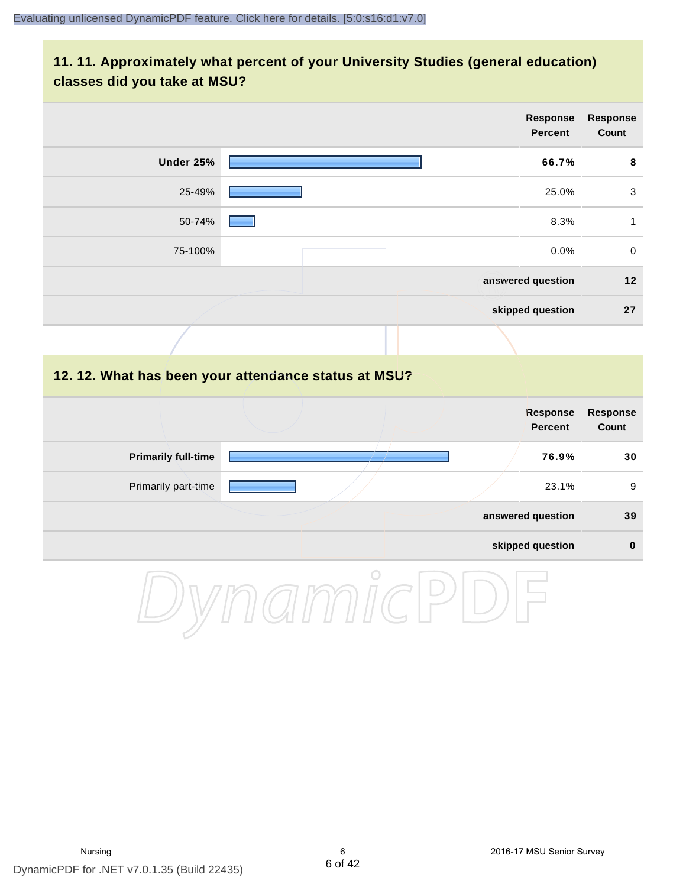# **11. 11. Approximately what percent of your University Studies (general education) classes did you take at MSU?**

|                            |                                                      | <b>Response</b><br><b>Percent</b> | <b>Response</b><br>Count |
|----------------------------|------------------------------------------------------|-----------------------------------|--------------------------|
| <b>Under 25%</b>           |                                                      | 66.7%                             | 8                        |
| 25-49%                     |                                                      | 25.0%                             | $\sqrt{3}$               |
| 50-74%                     |                                                      | 8.3%                              | $\mathbf{1}$             |
| 75-100%                    |                                                      | 0.0%                              | $\pmb{0}$                |
|                            |                                                      | answered question                 | $12$                     |
|                            |                                                      | skipped question                  | 27                       |
|                            |                                                      |                                   |                          |
|                            | 12. 12. What has been your attendance status at MSU? |                                   |                          |
|                            |                                                      | <b>Response</b><br><b>Percent</b> | <b>Response</b><br>Count |
| <b>Primarily full-time</b> |                                                      | 76.9%                             | 30                       |
| Primarily part-time        |                                                      | 23.1%                             | $\boldsymbol{9}$         |
|                            |                                                      | answered question                 | 39                       |
|                            |                                                      | skipped question                  | $\pmb{0}$                |
|                            | O                                                    |                                   |                          |

DynamicPDF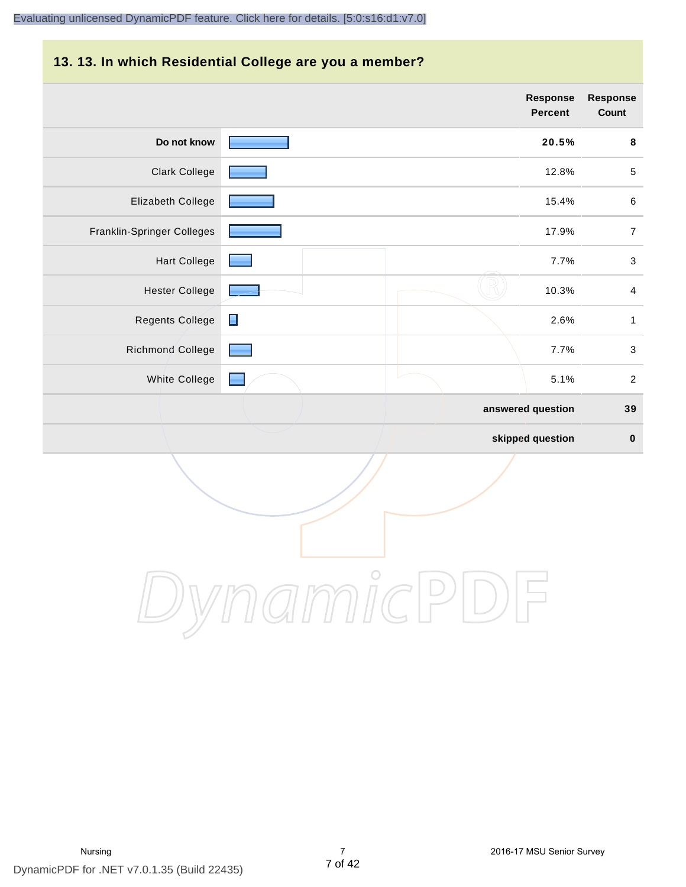#### **13. 13. In which Residential College are you a member?**

|                            |                | <b>Response</b><br><b>Percent</b> | <b>Response</b><br>Count |
|----------------------------|----------------|-----------------------------------|--------------------------|
| Do not know                |                | 20.5%                             | 8                        |
| <b>Clark College</b>       |                | 12.8%                             | $\sqrt{5}$               |
| Elizabeth College          |                | 15.4%                             | $\,6\,$                  |
| Franklin-Springer Colleges |                | 17.9%                             | $\boldsymbol{7}$         |
| <b>Hart College</b>        |                | 7.7%                              | $\sqrt{3}$               |
| <b>Hester College</b>      |                | 10.3%                             | $\overline{4}$           |
| <b>Regents College</b>     | $\blacksquare$ | 2.6%                              | $\mathbf{1}$             |
| <b>Richmond College</b>    |                | 7.7%                              | $\sqrt{3}$               |
| White College              |                | 5.1%                              | 2                        |
|                            |                | answered question                 | 39                       |
|                            |                | skipped question                  | $\pmb{0}$                |

DynamicPDF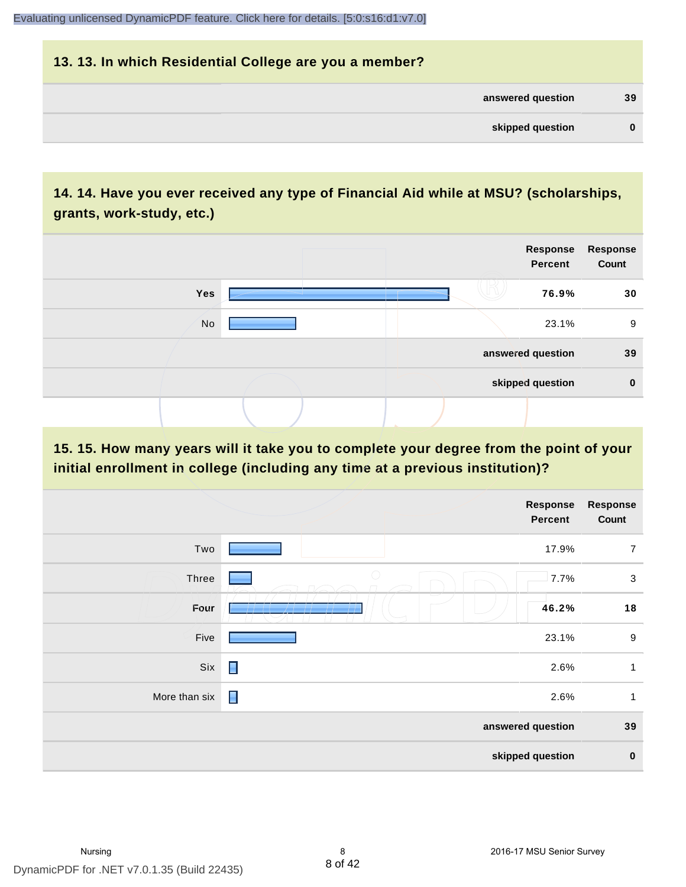# **13. 13. In which Residential College are you a member? answered question 39 skipped question 0**

# **14. 14. Have you ever received any type of Financial Aid while at MSU? (scholarships, grants, work-study, etc.)**



**15. 15. How many years will it take you to complete your degree from the point of your initial enrollment in college (including any time at a previous institution)?**

|               |                | <b>Response</b><br>Percent | <b>Response</b><br>Count |
|---------------|----------------|----------------------------|--------------------------|
| Two           |                | 17.9%                      | $\overline{7}$           |
| Three         | $\bigcirc$     | 7.7%                       | $\sqrt{3}$               |
| Four          |                | 46.2%                      | 18                       |
| Five          |                | 23.1%                      | $\boldsymbol{9}$         |
| Six           | $\blacksquare$ | 2.6%                       | 1                        |
| More than six | Ε              | 2.6%                       | $\mathbf{1}$             |
|               |                | answered question          | 39                       |
|               |                | skipped question           | $\pmb{0}$                |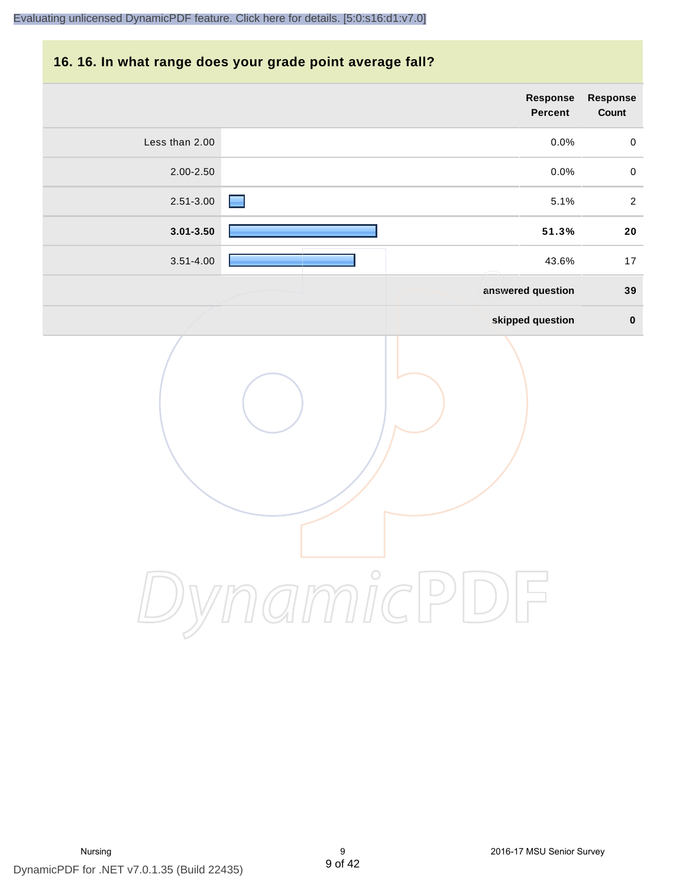#### **16. 16. In what range does your grade point average fall?**

| Response<br>Count | Response<br>Percent |                |
|-------------------|---------------------|----------------|
| $\pmb{0}$         | 0.0%                | Less than 2.00 |
| $\pmb{0}$         | 0.0%                | 2.00-2.50      |
| $\sqrt{2}$        | 5.1%                | 2.51-3.00      |
| ${\bf 20}$        | 51.3%               | $3.01 - 3.50$  |
| 17                | 43.6%               | $3.51 - 4.00$  |
| 39                | answered question   |                |
| $\pmb{0}$         | skipped question    |                |
|                   | $\bigcirc$          |                |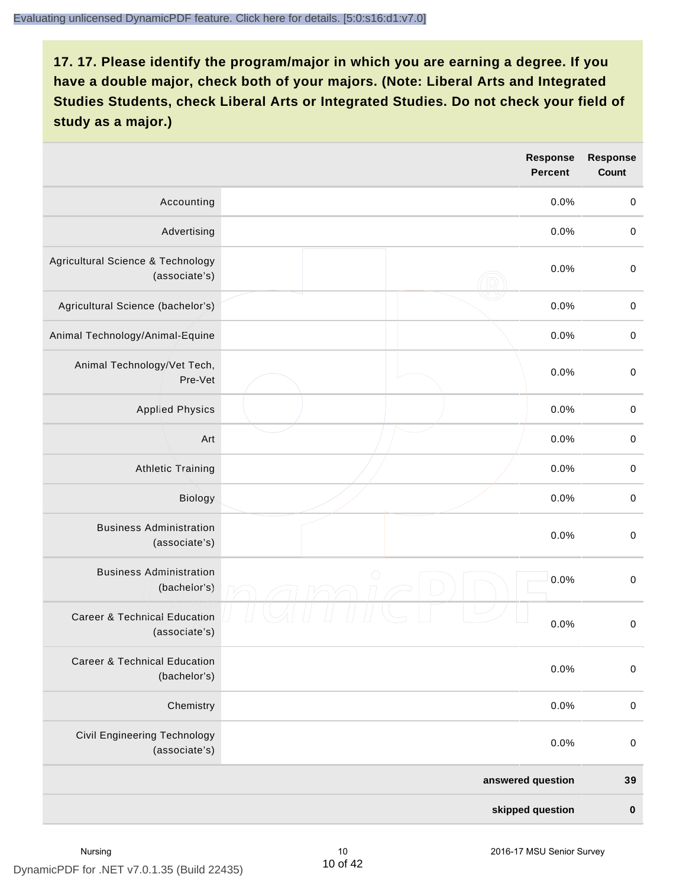|                                                          | <b>Response</b><br><b>Percent</b> | <b>Response</b><br>Count |
|----------------------------------------------------------|-----------------------------------|--------------------------|
| Accounting                                               | 0.0%                              | $\mathbf 0$              |
| Advertising                                              | 0.0%                              | $\mathbf 0$              |
| Agricultural Science & Technology<br>(associate's)       | 0.0%                              | $\mathbf 0$              |
| Agricultural Science (bachelor's)                        | 0.0%                              | $\mathbf 0$              |
| Animal Technology/Animal-Equine                          | 0.0%                              | $\mathbf 0$              |
| Animal Technology/Vet Tech,<br>Pre-Vet                   | 0.0%                              | $\mathbf 0$              |
| <b>Applied Physics</b>                                   | 0.0%                              | $\mathbf 0$              |
| Art                                                      | 0.0%                              | $\,0\,$                  |
| <b>Athletic Training</b>                                 | 0.0%                              | $\mathbf 0$              |
| Biology                                                  | 0.0%                              | $\,0\,$                  |
| <b>Business Administration</b><br>(associate's)          | 0.0%                              | $\,0\,$                  |
| <b>Business Administration</b><br>(bachelor's)           | $\bigcirc$<br>0.0%                | $\mbox{O}$               |
| <b>Career &amp; Technical Education</b><br>(associate's) | 0.0%                              | $\mathbf 0$              |
| <b>Career &amp; Technical Education</b><br>(bachelor's)  | 0.0%                              | $\mathbf 0$              |
| Chemistry                                                | 0.0%                              | $\mathbf 0$              |
| <b>Civil Engineering Technology</b><br>(associate's)     | 0.0%                              | $\mathbf 0$              |
|                                                          | answered question                 | 39                       |
|                                                          | skipped question                  | $\pmb{0}$                |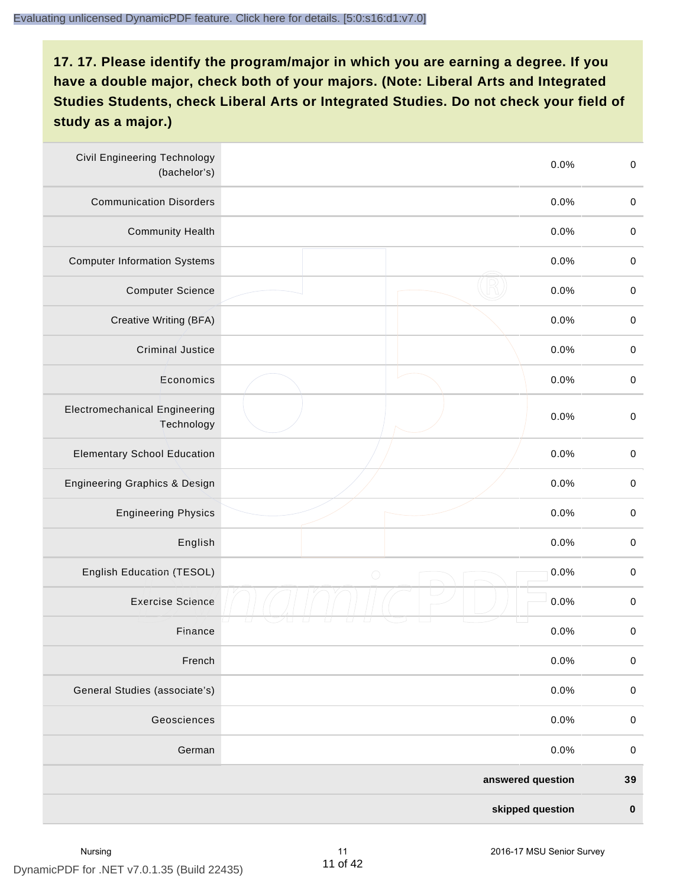| <b>Civil Engineering Technology</b><br>(bachelor's) | 0.0%               | $\mathbf 0$ |
|-----------------------------------------------------|--------------------|-------------|
| <b>Communication Disorders</b>                      | 0.0%               | $\mathbf 0$ |
| <b>Community Health</b>                             | 0.0%               | $\mathbf 0$ |
| <b>Computer Information Systems</b>                 | 0.0%               | $\pmb{0}$   |
| <b>Computer Science</b>                             | 0.0%               | $\mathbf 0$ |
| Creative Writing (BFA)                              | 0.0%               | $\mathbf 0$ |
| <b>Criminal Justice</b>                             | 0.0%               | $\mathbf 0$ |
| Economics                                           | 0.0%               | $\mathbf 0$ |
| <b>Electromechanical Engineering</b><br>Technology  | 0.0%               | $\mathbf 0$ |
| <b>Elementary School Education</b>                  | 0.0%               | $\mathbf 0$ |
| Engineering Graphics & Design                       | 0.0%               | $\mathbf 0$ |
| <b>Engineering Physics</b>                          | 0.0%               | $\mathbf 0$ |
| English                                             | 0.0%               | $\mathbf 0$ |
| English Education (TESOL)                           | 0.0%<br>$\bigcirc$ | $\pmb{0}$   |
| <b>Exercise Science</b>                             | 0.0%               | $\pmb{0}$   |
| Finance                                             | 0.0%               | $\pmb{0}$   |
| French                                              | 0.0%               | $\pmb{0}$   |
| General Studies (associate's)                       | 0.0%               | $\mathbf 0$ |
| Geosciences                                         | 0.0%               | $\pmb{0}$   |
| German                                              | 0.0%               | $\mathbf 0$ |
|                                                     | answered question  | 39          |
|                                                     | skipped question   | $\pmb{0}$   |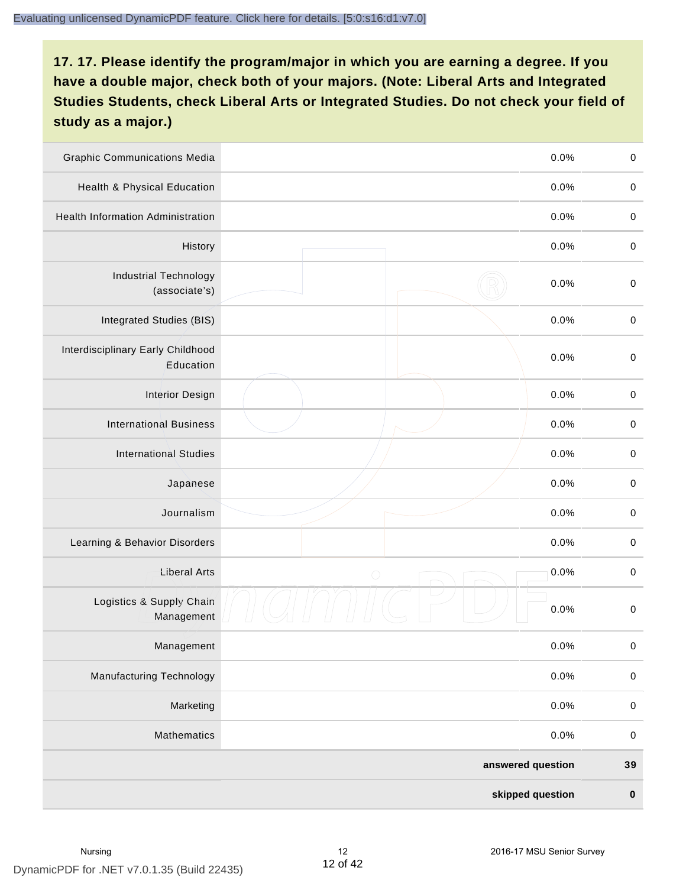| <b>Graphic Communications Media</b>            |                   | 0.0% | $\mathbf 0$ |
|------------------------------------------------|-------------------|------|-------------|
| Health & Physical Education                    |                   | 0.0% | $\mathbf 0$ |
| <b>Health Information Administration</b>       |                   | 0.0% | $\mathbf 0$ |
| History                                        |                   | 0.0% | $\pmb{0}$   |
| <b>Industrial Technology</b><br>(associate's)  |                   | 0.0% | $\mathbf 0$ |
| Integrated Studies (BIS)                       |                   | 0.0% | $\mathbf 0$ |
| Interdisciplinary Early Childhood<br>Education |                   | 0.0% | $\mathbf 0$ |
| <b>Interior Design</b>                         |                   | 0.0% | $\pmb{0}$   |
| <b>International Business</b>                  |                   | 0.0% | $\mathbf 0$ |
| <b>International Studies</b>                   |                   | 0.0% | $\mathbf 0$ |
| Japanese                                       |                   | 0.0% | $\pmb{0}$   |
| Journalism                                     |                   | 0.0% | $\pmb{0}$   |
| Learning & Behavior Disorders                  |                   | 0.0% | $\mathbf 0$ |
| <b>Liberal Arts</b>                            | $\bigcirc$        | 0.0% | $\pmb{0}$   |
| Logistics & Supply Chain<br>Management         |                   | 0.0% | $\mathbf 0$ |
| Management                                     |                   | 0.0% | $\pmb{0}$   |
| <b>Manufacturing Technology</b>                |                   | 0.0% | $\pmb{0}$   |
| Marketing                                      |                   | 0.0% | $\mathbf 0$ |
| Mathematics                                    |                   | 0.0% | $\,0\,$     |
|                                                | answered question |      | 39          |
|                                                | skipped question  |      | $\pmb{0}$   |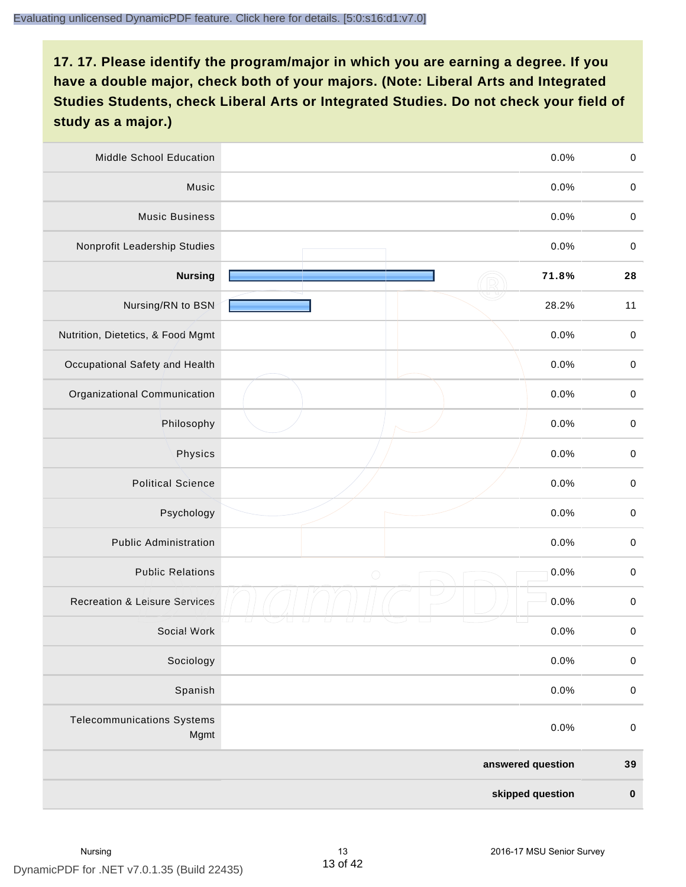| Middle School Education                   | 0.0%               | $\mathbf 0$ |
|-------------------------------------------|--------------------|-------------|
| Music                                     | 0.0%               | $\mathbf 0$ |
| <b>Music Business</b>                     | 0.0%               | $\pmb{0}$   |
| Nonprofit Leadership Studies              | 0.0%               | $\pmb{0}$   |
| <b>Nursing</b>                            | 71.8%              | 28          |
| Nursing/RN to BSN                         | 28.2%              | 11          |
| Nutrition, Dietetics, & Food Mgmt         | 0.0%               | $\mathbf 0$ |
| Occupational Safety and Health            | 0.0%               | $\pmb{0}$   |
| Organizational Communication              | 0.0%               | $\pmb{0}$   |
| Philosophy                                | 0.0%               | $\pmb{0}$   |
| Physics                                   | 0.0%               | $\pmb{0}$   |
| <b>Political Science</b>                  | 0.0%               | $\pmb{0}$   |
| Psychology                                | 0.0%               | $\mathbf 0$ |
| <b>Public Administration</b>              | 0.0%               | $\mathbf 0$ |
| <b>Public Relations</b>                   | 0.0%<br>$\bigcirc$ | $\pmb{0}$   |
| <b>Recreation &amp; Leisure Services</b>  | 0.0%               | $\pmb{0}$   |
| Social Work                               | 0.0%               | $\pmb{0}$   |
| Sociology                                 | 0.0%               | $\mathbf 0$ |
| Spanish                                   | 0.0%               | $\pmb{0}$   |
| <b>Telecommunications Systems</b><br>Mgmt | 0.0%               | $\,0\,$     |
|                                           | answered question  | 39          |
|                                           | skipped question   | $\pmb{0}$   |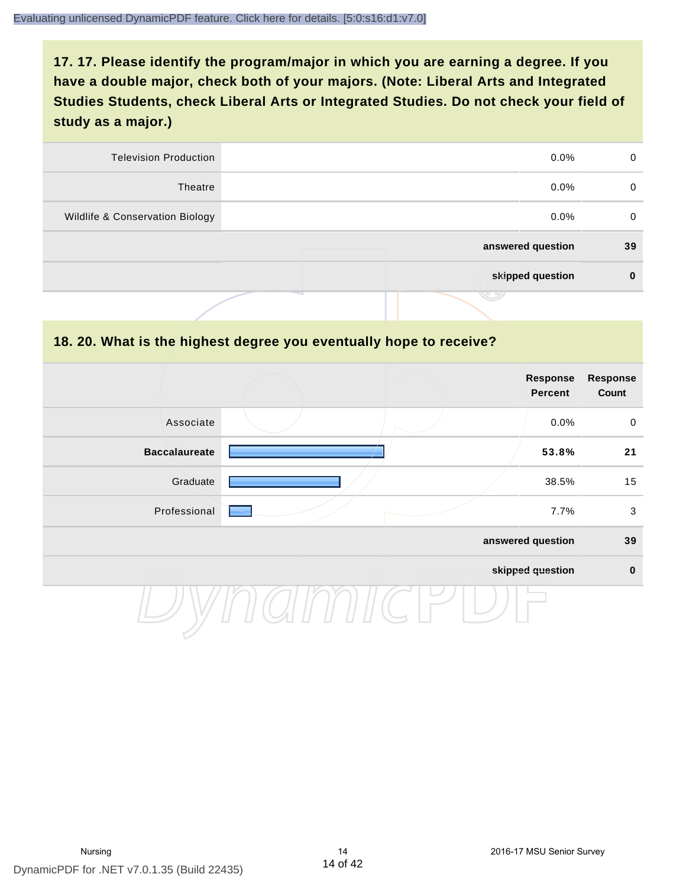| 0  | $0.0\%$           | <b>Television Production</b>    |
|----|-------------------|---------------------------------|
| 0  | $0.0\%$           | Theatre                         |
| 0  | $0.0\%$           | Wildlife & Conservation Biology |
| 39 | answered question |                                 |
| 0  | skipped question  |                                 |
|    |                   |                                 |

#### **18. 20. What is the highest degree you eventually hope to receive?**

|                      |  | Response<br>Percent | <b>Response</b><br>Count |
|----------------------|--|---------------------|--------------------------|
| Associate            |  | 0.0%                | $\mathbf 0$              |
| <b>Baccalaureate</b> |  | 53.8%               | 21                       |
| Graduate             |  | 38.5%               | 15                       |
| Professional         |  | 7.7%                | $\mathbf{3}$             |
|                      |  | answered question   | 39                       |
|                      |  | skipped question    | $\mathbf 0$              |
|                      |  |                     |                          |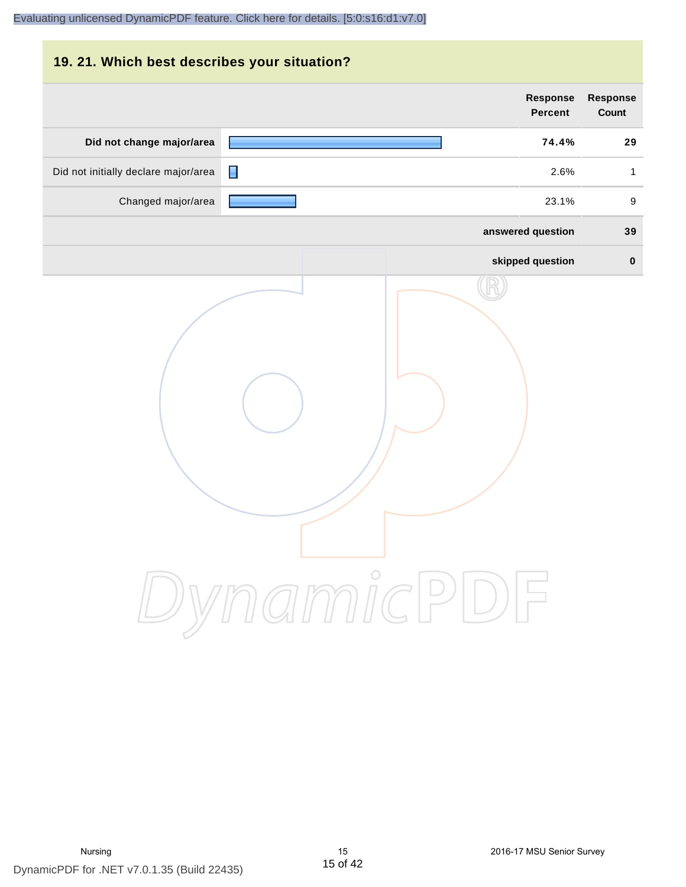| 19. 21. Which best describes your situation? |                                   |                                 |
|----------------------------------------------|-----------------------------------|---------------------------------|
|                                              | <b>Response</b><br><b>Percent</b> | <b>Response</b><br><b>Count</b> |
| Did not change major/area                    | 74.4%                             | 29                              |
| Did not initially declare major/area         | П<br>2.6%                         | $\mathbf{1}$                    |
| Changed major/area                           | 23.1%                             | 9                               |
|                                              | answered question                 | 39                              |
|                                              | skipped question                  | $\bf{0}$                        |
|                                              | DynamicPDF                        |                                 |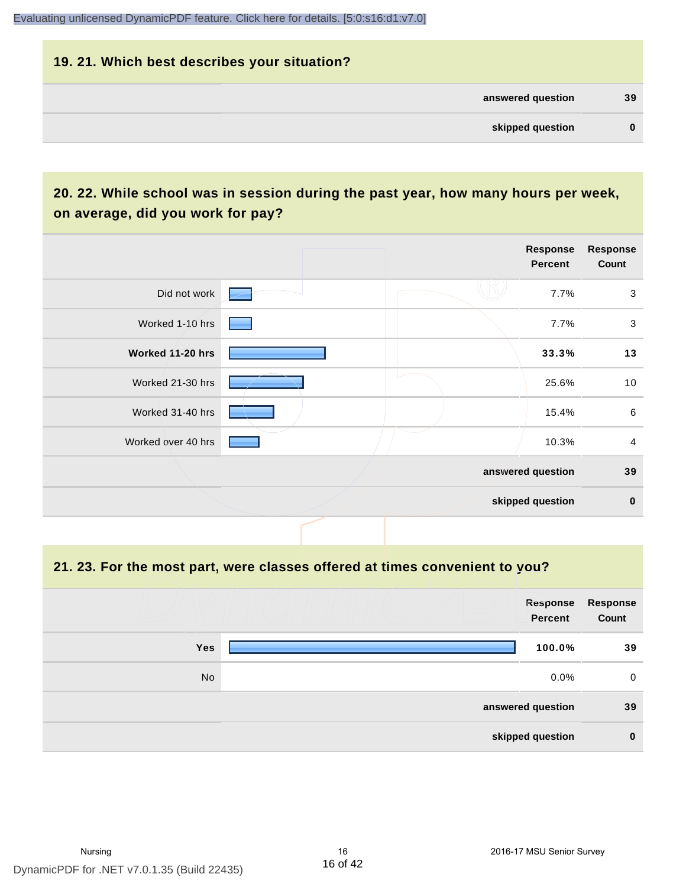# **19. 21. Which best describes your situation? answered question 39 skipped question 0**

# **20. 22. While school was in session during the past year, how many hours per week, on average, did you work for pay?**

|                    |  | Response<br><b>Percent</b> | <b>Response</b><br>Count |
|--------------------|--|----------------------------|--------------------------|
| Did not work       |  | 7.7%                       | 3                        |
| Worked 1-10 hrs    |  | 7.7%                       | $\mathbf{3}$             |
| Worked 11-20 hrs   |  | 33.3%                      | 13                       |
| Worked 21-30 hrs   |  | 25.6%                      | 10                       |
| Worked 31-40 hrs   |  | 15.4%                      | 6                        |
| Worked over 40 hrs |  | 10.3%                      | $\overline{4}$           |
|                    |  | answered question          | 39                       |
|                    |  | skipped question           | $\pmb{0}$                |

#### **21. 23. For the most part, were classes offered at times convenient to you?**

|            | Response<br>Percent | Response<br>Count |
|------------|---------------------|-------------------|
| <b>Yes</b> | 100.0%              | 39                |
| No         | $0.0\%$             | 0                 |
|            | answered question   | 39                |
|            | skipped question    | $\mathbf 0$       |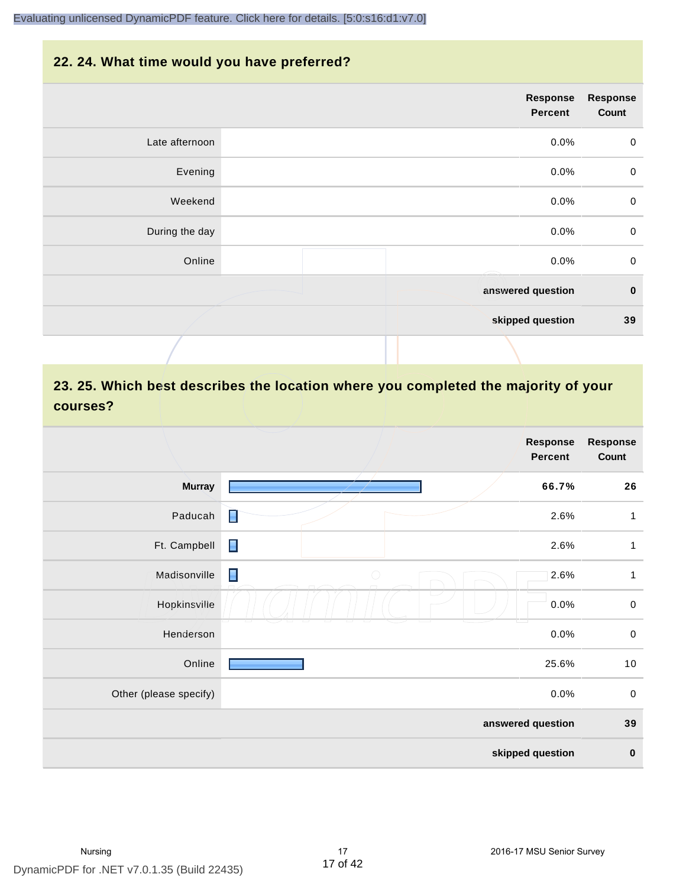#### **22. 24. What time would you have preferred?**

|                | Response<br>Percent | <b>Response</b><br>Count |
|----------------|---------------------|--------------------------|
| Late afternoon | 0.0%                | $\pmb{0}$                |
| Evening        | 0.0%                | $\pmb{0}$                |
| Weekend        | 0.0%                | $\pmb{0}$                |
| During the day | 0.0%                | $\pmb{0}$                |
| Online         | 0.0%                | $\mathbf 0$              |
|                | answered question   | $\bf{0}$                 |
|                | skipped question    | 39                       |
|                |                     |                          |

# **23. 25. Which best describes the location where you completed the majority of your courses?**

|                        |                   | <b>Response</b><br><b>Percent</b> | <b>Response</b><br>Count |
|------------------------|-------------------|-----------------------------------|--------------------------|
| <b>Murray</b>          |                   | 66.7%                             | 26                       |
| Paducah                | П                 | 2.6%                              | 1                        |
| Ft. Campbell           | $\blacksquare$    | 2.6%                              | $\mathbf{1}$             |
| Madisonville           | Π<br>$\bigcirc$   | 2.6%                              | 1                        |
| Hopkinsville           |                   | 0.0%                              | $\pmb{0}$                |
| Henderson              |                   | 0.0%                              | $\pmb{0}$                |
| Online                 |                   | 25.6%                             | 10                       |
| Other (please specify) |                   | 0.0%                              | $\mathbf 0$              |
|                        | answered question |                                   | 39                       |
|                        |                   | skipped question                  | $\pmb{0}$                |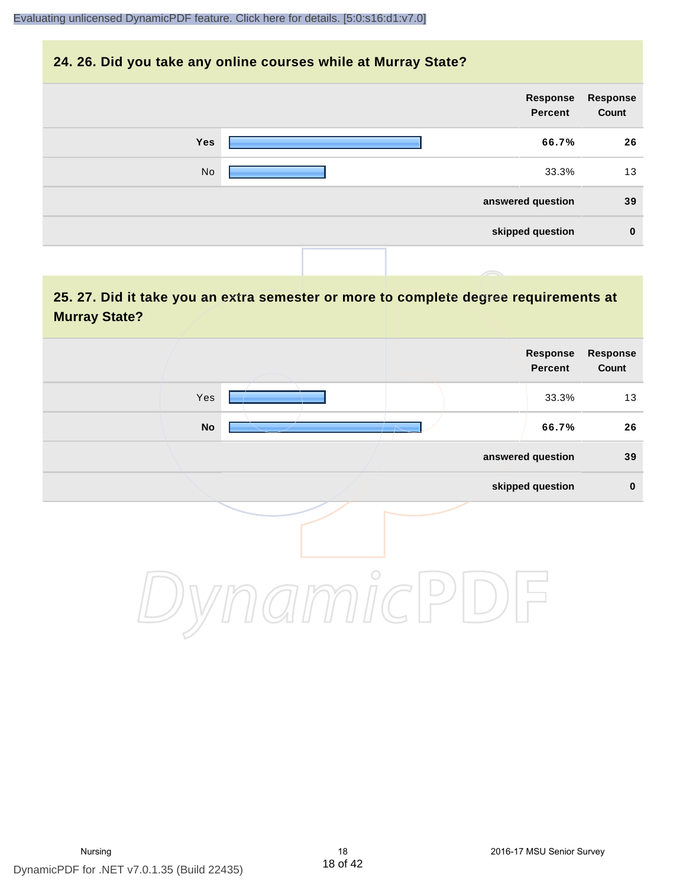#### **24. 26. Did you take any online courses while at Murray State?**

| <b>Response</b><br>Count | Response<br>Percent |     |
|--------------------------|---------------------|-----|
| 26                       | 66.7%               | Yes |
| 13                       | 33.3%               | No  |
| 39                       | answered question   |     |
| $\mathbf 0$              | skipped question    |     |
|                          |                     |     |

**25. 27. Did it take you an extra semester or more to complete degree requirements at Murray State?**

| Response<br>Count | Response<br>Percent |            |     |
|-------------------|---------------------|------------|-----|
| 13                | 33.3%               |            | Yes |
| 26                | 66.7%               |            | No  |
| 39                | answered question   |            |     |
| $\pmb{0}$         | skipped question    |            |     |
|                   |                     | $\bigcirc$ |     |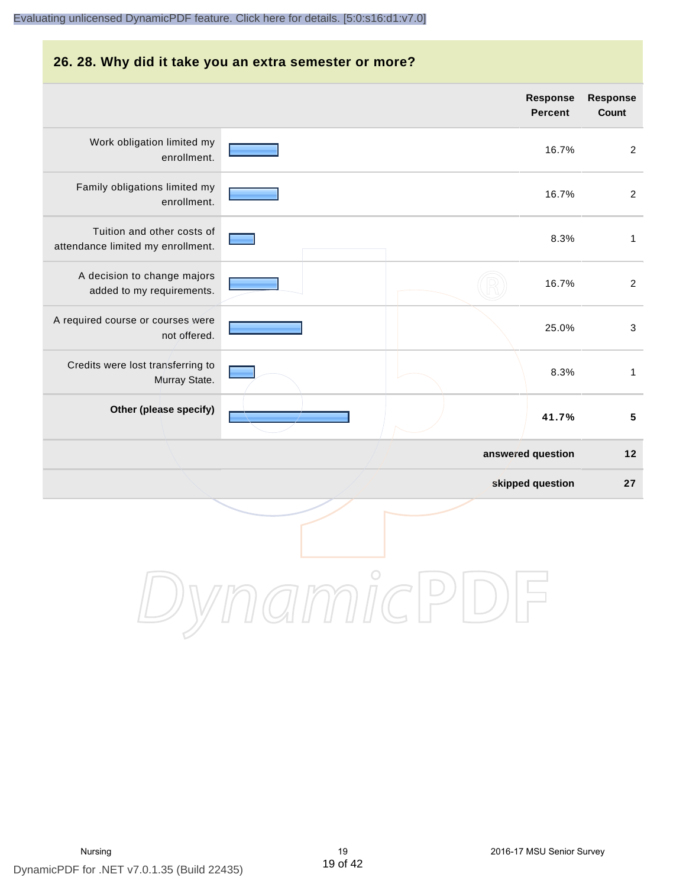# **26. 28. Why did it take you an extra semester or more? answered question 12 Response Percent Response Count** Work obligation limited my enrollment. 16.7% 2 Family obligations limited my enrollment. 16.7% 2 Tuition and other costs of attendance limited my enrollment. 8.3% 1 A decision to change majors added to my requirements. 16.7% 2 A required course or courses were not offered. 25.0% 3 Credits were lost transferring to Murray State. 8.3% 1 **Other (please specify) 41.7% 5** [Evaluating unlicensed DynamicPDF feature. Click here for details. \[5:0:s16:d1:v7.0\]](http://www.DynamicPDF.com/dplic/?d=T(EuYmIrxFe0nIre)

**skipped question 27**

DynamicPDI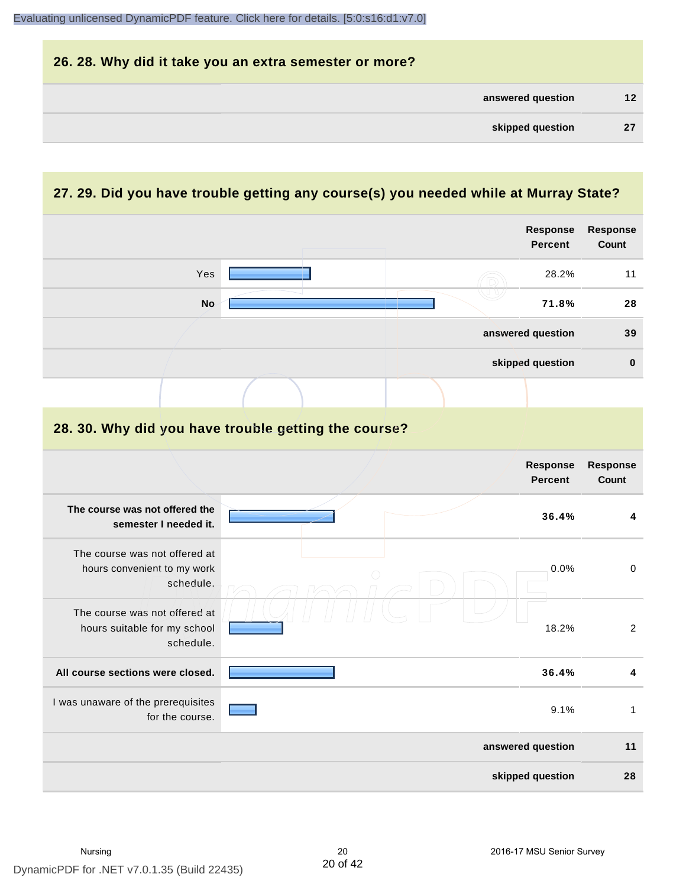| 26. 28. Why did it take you an extra semester or more? |                 |
|--------------------------------------------------------|-----------------|
| answered question                                      | 12 <sup>2</sup> |
| skipped question                                       | 27              |

# **27. 29. Did you have trouble getting any course(s) you needed while at Murray State?**

|                                                                            |  | <b>Response</b><br><b>Percent</b> | Response<br>Count |
|----------------------------------------------------------------------------|--|-----------------------------------|-------------------|
| Yes                                                                        |  | 28.2%                             | 11                |
| <b>No</b>                                                                  |  | 71.8%                             | 28                |
|                                                                            |  | answered question                 | 39                |
|                                                                            |  | skipped question                  | $\pmb{0}$         |
|                                                                            |  |                                   |                   |
| 28. 30. Why did you have trouble getting the course?                       |  |                                   |                   |
|                                                                            |  | Response<br><b>Percent</b>        | Response<br>Count |
| The course was not offered the<br>semester I needed it.                    |  | 36.4%                             | 4                 |
| The course was not offered at<br>hours convenient to my work<br>schedule.  |  | 0.0%                              | $\pmb{0}$         |
| The course was not offered at<br>hours suitable for my school<br>schedule. |  | 18.2%                             | $\overline{2}$    |
| All course sections were closed.                                           |  | 36.4%                             | 4                 |
| I was unaware of the prerequisites<br>for the course.                      |  | 9.1%                              | $\mathbf{1}$      |
|                                                                            |  | answered question                 | 11                |
|                                                                            |  | skipped question                  | 28                |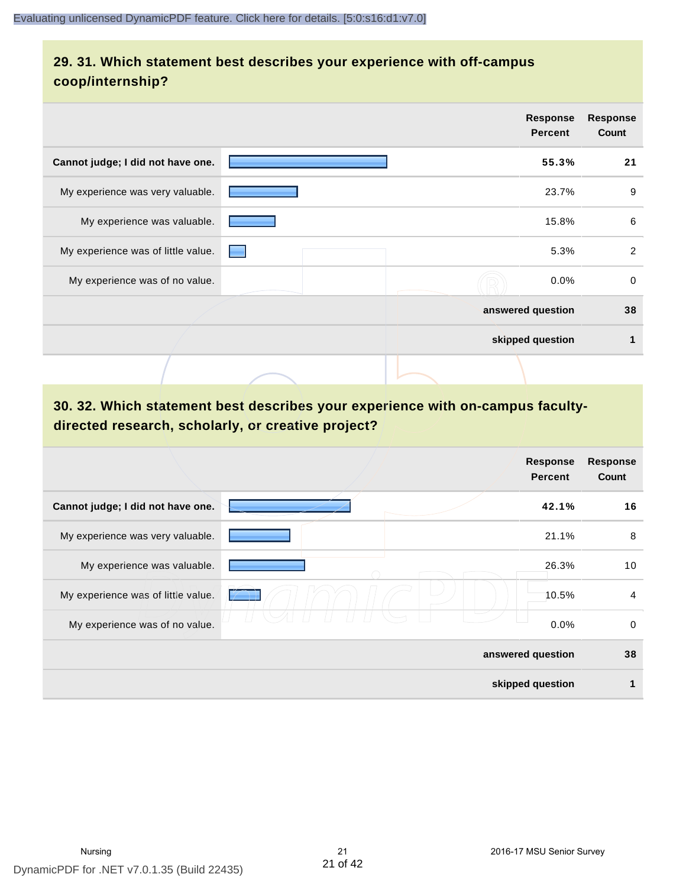# **29. 31. Which statement best describes your experience with off-campus coop/internship?**

|                                    | <b>Response</b><br><b>Percent</b> | <b>Response</b><br>Count |
|------------------------------------|-----------------------------------|--------------------------|
| Cannot judge; I did not have one.  | 55.3%                             | 21                       |
| My experience was very valuable.   | 23.7%                             | 9                        |
| My experience was valuable.        | 15.8%                             | 6                        |
| My experience was of little value. | 5.3%                              | 2                        |
| My experience was of no value.     | $0.0\%$                           | $\mathbf 0$              |
|                                    | answered question                 | 38                       |
|                                    | skipped question                  | 1                        |
|                                    |                                   |                          |

# **30. 32. Which statement best describes your experience with on-campus facultydirected research, scholarly, or creative project?**

|                                    | <b>Response</b><br><b>Percent</b> | <b>Response</b><br>Count |
|------------------------------------|-----------------------------------|--------------------------|
| Cannot judge; I did not have one.  | 42.1%                             | 16                       |
| My experience was very valuable.   | 21.1%                             | 8                        |
| My experience was valuable.        | 26.3%                             | 10                       |
| My experience was of little value. | 10.5%                             | $\overline{4}$           |
| My experience was of no value.     | 0.0%                              | 0                        |
|                                    | answered question                 | 38                       |
|                                    | skipped question                  | 1                        |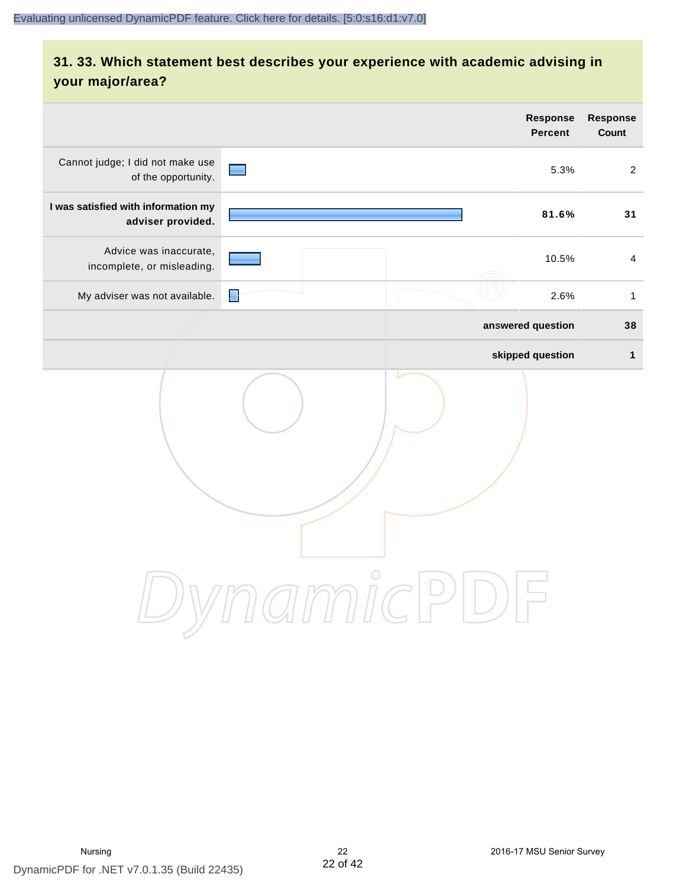# **31. 33. Which statement best describes your experience with academic advising in your major/area?**

|                                                          | <b>Response</b><br><b>Percent</b>                                             | Response<br>Count |
|----------------------------------------------------------|-------------------------------------------------------------------------------|-------------------|
| Cannot judge; I did not make use<br>of the opportunity.  | 5.3%<br>and in                                                                | $\overline{2}$    |
| I was satisfied with information my<br>adviser provided. | 81.6%                                                                         | 31                |
| Advice was inaccurate,<br>incomplete, or misleading.     | 10.5%                                                                         | $\overline{4}$    |
| My adviser was not available.                            | 暑<br>2.6%                                                                     | $\mathbf{1}$      |
|                                                          | answered question                                                             | 38                |
|                                                          | skipped question                                                              | $\mathbf{1}$      |
|                                                          | amicl<br>$\left( \begin{array}{c} \end{array} \right)$<br>$\overline{\smile}$ |                   |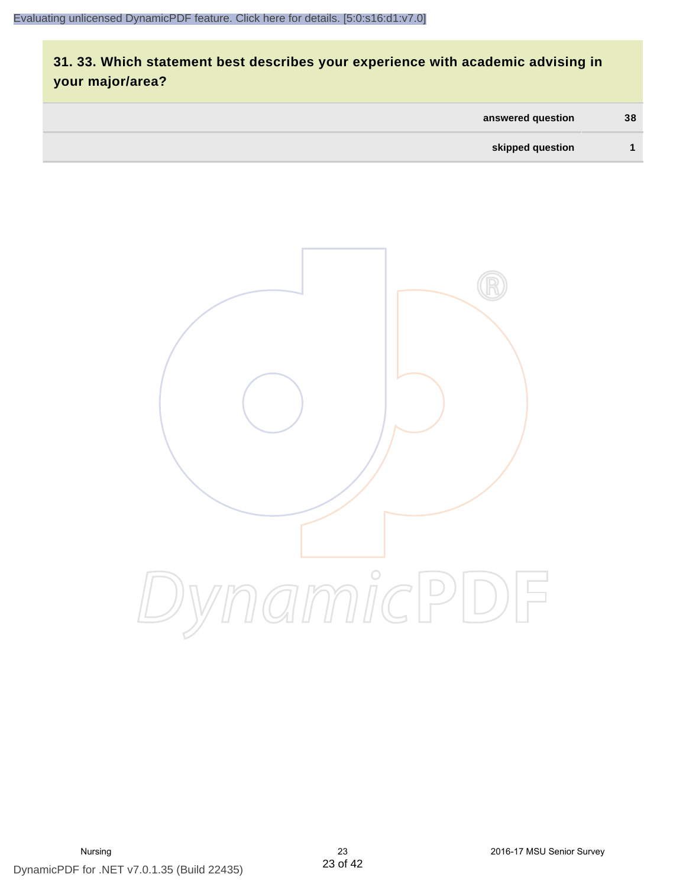# **31. 33. Which statement best describes your experience with academic advising in your major/area?**

| answered question | 38 |
|-------------------|----|
| skipped question  |    |

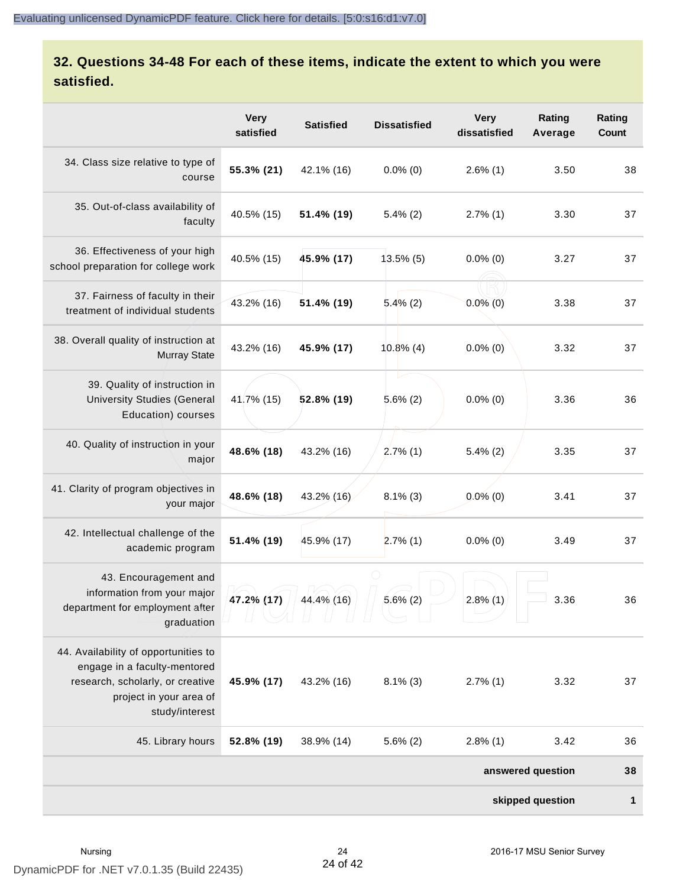# **32. Questions 34-48 For each of these items, indicate the extent to which you were satisfied.**

|                                                                                                                                                       | <b>Very</b><br>satisfied | <b>Satisfied</b> | <b>Dissatisfied</b> | <b>Very</b><br>dissatisfied | Rating<br>Average | Rating<br>Count |
|-------------------------------------------------------------------------------------------------------------------------------------------------------|--------------------------|------------------|---------------------|-----------------------------|-------------------|-----------------|
| 34. Class size relative to type of<br>course                                                                                                          | 55.3% (21)               | 42.1% (16)       | $0.0\%$ (0)         | $2.6\%$ (1)                 | 3.50              | 38              |
| 35. Out-of-class availability of<br>faculty                                                                                                           | 40.5% (15)               | 51.4% (19)       | $5.4\%$ (2)         | $2.7\%$ (1)                 | 3.30              | 37              |
| 36. Effectiveness of your high<br>school preparation for college work                                                                                 | 40.5% (15)               | 45.9% (17)       | $13.5\%$ (5)        | $0.0\%$ (0)                 | 3.27              | 37              |
| 37. Fairness of faculty in their<br>treatment of individual students                                                                                  | 43.2% (16)               | 51.4% (19)       | $5.4\%$ (2)         | $0.0\%$ (0)                 | 3.38              | 37              |
| 38. Overall quality of instruction at<br><b>Murray State</b>                                                                                          | 43.2% (16)               | 45.9% (17)       | $10.8\%$ (4)        | $0.0\%$ (0)                 | 3.32              | 37              |
| 39. Quality of instruction in<br><b>University Studies (General</b><br>Education) courses                                                             | 41.7% (15)               | 52.8% (19)       | $5.6\%$ (2)         | $0.0\%$ (0)                 | 3.36              | 36              |
| 40. Quality of instruction in your<br>major                                                                                                           | 48.6% (18)               | 43.2% (16)       | $2.7\%$ (1)         | $5.4\%$ (2)                 | 3.35              | 37              |
| 41. Clarity of program objectives in<br>your major                                                                                                    | 48.6% (18)               | 43.2% (16)       | $8.1\%$ (3)         | $0.0\%$ (0)                 | 3.41              | 37              |
| 42. Intellectual challenge of the<br>academic program                                                                                                 | 51.4% (19)               | 45.9% (17)       | $2.7\%$ (1)         | $0.0\%$ (0)                 | 3.49              | 37              |
| 43. Encouragement and<br>information from your major<br>department for employment after<br>graduation                                                 | 47.2% (17)               | 44.4% (16)       | $5.6\%$ (2)         | $2.8\%$ (1)                 | 3.36              | 36              |
| 44. Availability of opportunities to<br>engage in a faculty-mentored<br>research, scholarly, or creative<br>project in your area of<br>study/interest | 45.9% (17)               | 43.2% (16)       | $8.1\%$ (3)         | $2.7\%$ (1)                 | 3.32              | 37              |
| 45. Library hours                                                                                                                                     | 52.8% (19)               | 38.9% (14)       | $5.6\%$ (2)         | $2.8\%$ (1)                 | 3.42              | 36              |
|                                                                                                                                                       | answered question        |                  |                     |                             |                   | 38              |
|                                                                                                                                                       |                          |                  |                     |                             | skipped question  | $\mathbf{1}$    |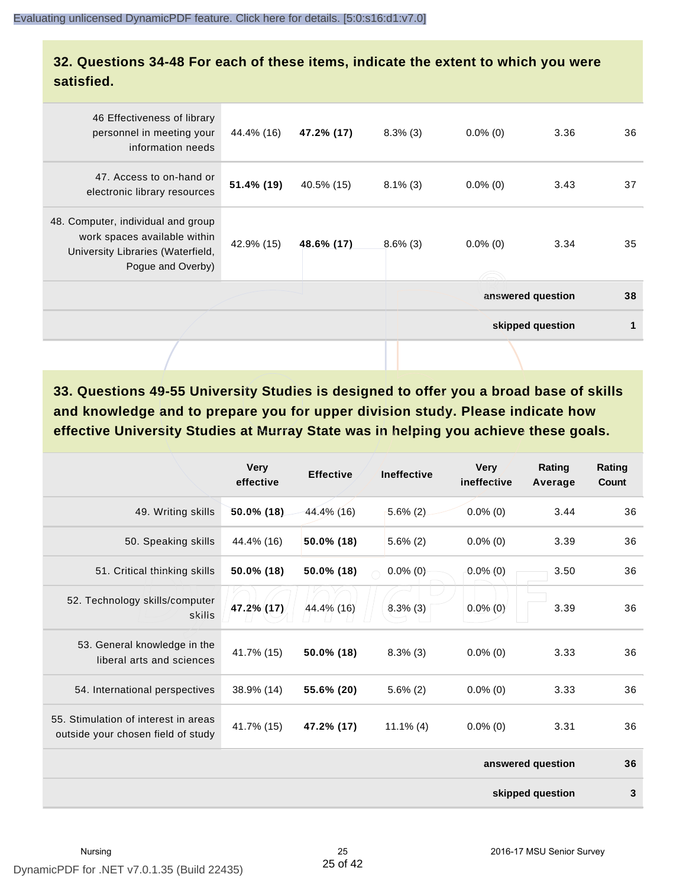#### **32. Questions 34-48 For each of these items, indicate the extent to which you were satisfied.**

|                                                                                                                              |            |            |             |             | skipped question  | 1  |
|------------------------------------------------------------------------------------------------------------------------------|------------|------------|-------------|-------------|-------------------|----|
|                                                                                                                              |            |            |             |             | answered question | 38 |
| 48. Computer, individual and group<br>work spaces available within<br>University Libraries (Waterfield,<br>Pogue and Overby) | 42.9% (15) | 48.6% (17) | $8.6\%$ (3) | $0.0\%$ (0) | 3.34              | 35 |
| 47. Access to on-hand or<br>electronic library resources                                                                     | 51.4% (19) | 40.5% (15) | $8.1\%$ (3) | $0.0\%$ (0) | 3.43              | 37 |
| 46 Effectiveness of library<br>personnel in meeting your<br>information needs                                                | 44.4% (16) | 47.2% (17) | $8.3\%$ (3) | $0.0\%$ (0) | 3.36              | 36 |
|                                                                                                                              |            |            |             |             |                   |    |

**33. Questions 49-55 University Studies is designed to offer you a broad base of skills and knowledge and to prepare you for upper division study. Please indicate how effective University Studies at Murray State was in helping you achieve these goals.**

|                                                                            | <b>Very</b><br>effective | <b>Effective</b> | <b>Ineffective</b> | <b>Very</b><br>ineffective | Rating<br>Average | Rating<br>Count |
|----------------------------------------------------------------------------|--------------------------|------------------|--------------------|----------------------------|-------------------|-----------------|
| 49. Writing skills                                                         | 50.0% (18)               | 44.4% (16)       | $5.6\%(2)$         | $0.0\%$ (0)                | 3.44              | 36              |
| 50. Speaking skills                                                        | 44.4% (16)               | 50.0% (18)       | $5.6\%$ (2)        | $0.0\%$ (0)                | 3.39              | 36              |
| 51. Critical thinking skills                                               | 50.0% (18)               | 50.0% (18)       | $0.0\%$ (0)        | $0.0\%$ (0)                | 3.50              | 36              |
| 52. Technology skills/computer<br>skills                                   | 47.2% (17)               | 44.4% (16)       | $8.3\%$ (3)        | $0.0\%$ (0)                | 3.39              | 36              |
| 53. General knowledge in the<br>liberal arts and sciences                  | 41.7% (15)               | 50.0% (18)       | $8.3\%$ (3)        | $0.0\%$ (0)                | 3.33              | 36              |
| 54. International perspectives                                             | 38.9% (14)               | 55.6% (20)       | $5.6\%$ (2)        | $0.0\%$ (0)                | 3.33              | 36              |
| 55. Stimulation of interest in areas<br>outside your chosen field of study | 41.7% (15)               | 47.2% (17)       | $11.1\%$ (4)       | $0.0\%$ (0)                | 3.31              | 36              |
|                                                                            |                          |                  |                    |                            | answered question | 36              |
|                                                                            |                          |                  |                    |                            | skipped question  | $\mathbf{3}$    |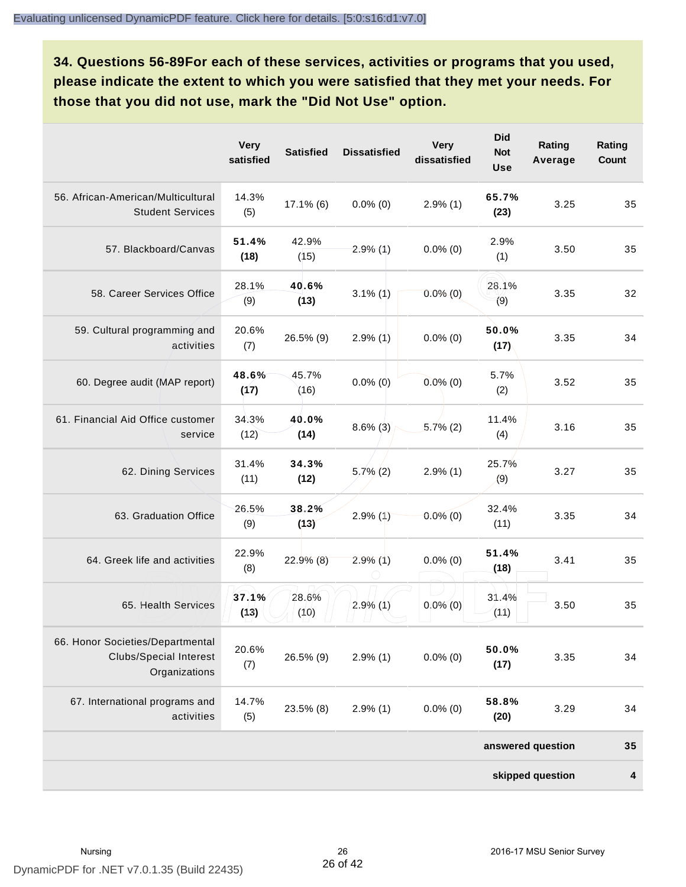**34. Questions 56-89For each of these services, activities or programs that you used, please indicate the extent to which you were satisfied that they met your needs. For those that you did not use, mark the "Did Not Use" option.**

|                                                                                    | <b>Very</b><br>satisfied | <b>Satisfied</b> | <b>Dissatisfied</b> | <b>Very</b><br>dissatisfied | <b>Did</b><br><b>Not</b><br><b>Use</b> | Rating<br>Average | Rating<br>Count         |
|------------------------------------------------------------------------------------|--------------------------|------------------|---------------------|-----------------------------|----------------------------------------|-------------------|-------------------------|
| 56. African-American/Multicultural<br><b>Student Services</b>                      | 14.3%<br>(5)             | $17.1\%$ (6)     | $0.0\%$ (0)         | $2.9\%$ (1)                 | 65.7%<br>(23)                          | 3.25              | 35                      |
| 57. Blackboard/Canvas                                                              | 51.4%<br>(18)            | 42.9%<br>(15)    | $2.9\%$ (1)         | $0.0\%$ (0)                 | 2.9%<br>(1)                            | 3.50              | 35                      |
| 58. Career Services Office                                                         | 28.1%<br>(9)             | 40.6%<br>(13)    | $3.1\%$ (1)         | $0.0\%$ (0)                 | 28.1%<br>(9)                           | 3.35              | 32                      |
| 59. Cultural programming and<br>activities                                         | 20.6%<br>(7)             | 26.5% (9)        | $2.9\%$ (1)         | $0.0\%$ (0)                 | 50.0%<br>(17)                          | 3.35              | 34                      |
| 60. Degree audit (MAP report)                                                      | 48.6%<br>(17)            | 45.7%<br>(16)    | $0.0\%$ (0)         | $0.0\%$ (0)                 | 5.7%<br>(2)                            | 3.52              | 35                      |
| 61. Financial Aid Office customer<br>service                                       | 34.3%<br>(12)            | 40.0%<br>(14)    | $8.6\%$ (3)         | $5.7\%$ (2)                 | 11.4%<br>(4)                           | 3.16              | 35                      |
| 62. Dining Services                                                                | 31.4%<br>(11)            | 34.3%<br>(12)    | $5,7\%$ (2)         | $2.9\%$ (1)                 | 25.7%<br>(9)                           | 3.27              | 35                      |
| 63. Graduation Office                                                              | 26.5%<br>(9)             | 38.2%<br>(13)    | 2.9%(1)             | $0.0\%$ (0)                 | 32.4%<br>(11)                          | 3.35              | 34                      |
| 64. Greek life and activities                                                      | 22.9%<br>(8)             | $22.9\%$ (8)     | $2.9\%$ (1)         | $0.0\%$ (0)                 | 51.4%<br>(18)                          | 3.41              | 35                      |
| 65. Health Services                                                                | 37.1%<br>(13)            | 28.6%<br>(10)    | $2.9\%$ (1)         | $0.0\%$ (0)                 | 31.4%<br>(11)                          | 3.50              | 35                      |
| 66. Honor Societies/Departmental<br><b>Clubs/Special Interest</b><br>Organizations | 20.6%<br>(7)             | 26.5% (9)        | $2.9\%$ (1)         | $0.0\%$ (0)                 | 50.0%<br>(17)                          | 3.35              | 34                      |
| 67. International programs and<br>activities                                       | 14.7%<br>(5)             | 23.5% (8)        | $2.9\%$ (1)         | $0.0\%$ (0)                 | 58.8%<br>(20)                          | 3.29              | 34                      |
|                                                                                    |                          |                  |                     |                             |                                        | answered question | 35                      |
|                                                                                    |                          |                  |                     |                             |                                        | skipped question  | $\overline{\mathbf{4}}$ |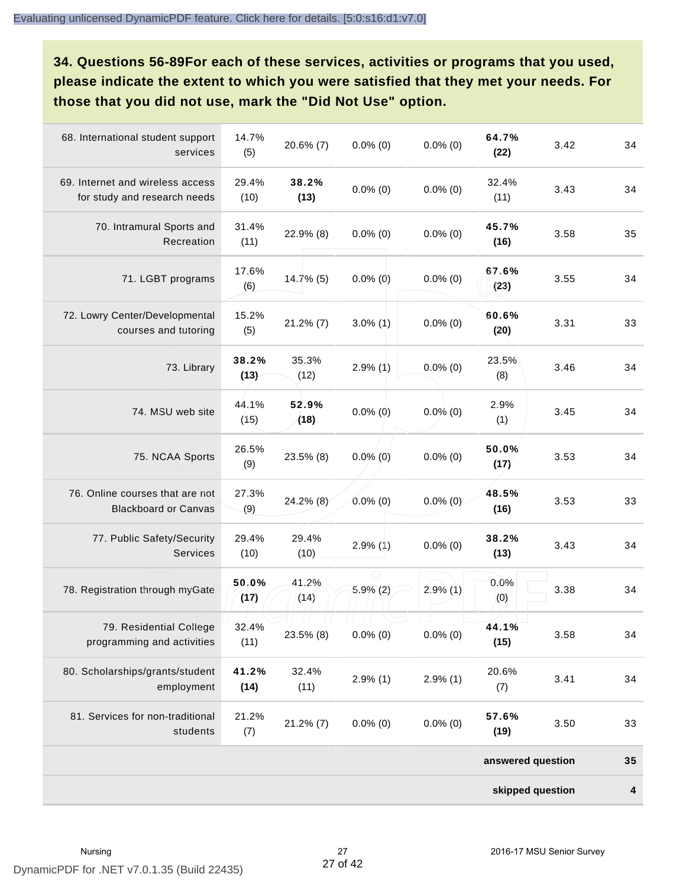**34. Questions 56-89For each of these services, activities or programs that you used, please indicate the extent to which you were satisfied that they met your needs. For those that you did not use, mark the "Did Not Use" option.**

| 68. International student support<br>services                    | 14.7%<br>(5)  | 20.6% (7)     | $0.0\%$ (0)            | $0.0\%$ (0) | 64.7%<br>(22)     | 3.42 | 34 |
|------------------------------------------------------------------|---------------|---------------|------------------------|-------------|-------------------|------|----|
| 69. Internet and wireless access<br>for study and research needs | 29.4%<br>(10) | 38.2%<br>(13) | $0.0\%$ (0)            | $0.0\%$ (0) | 32.4%<br>(11)     | 3.43 | 34 |
| 70. Intramural Sports and<br>Recreation                          | 31.4%<br>(11) | 22.9% (8)     | $0.0\%$ (0)            | $0.0\%$ (0) | 45.7%<br>(16)     | 3.58 | 35 |
| 71. LGBT programs                                                | 17.6%<br>(6)  | $14.7\%$ (5)  | $0.0\%$ (0)            | $0.0\%$ (0) | 67.6%<br>(23)     | 3.55 | 34 |
| 72. Lowry Center/Developmental<br>courses and tutoring           | 15.2%<br>(5)  | $21.2\%$ (7)  | $3.0\%$ (1)            | $0.0\%$ (0) | 60.6%<br>(20)     | 3.31 | 33 |
| 73. Library                                                      | 38.2%<br>(13) | 35.3%<br>(12) | $2.9\%$ (1)            | $0.0\%$ (0) | 23.5%<br>(8)      | 3.46 | 34 |
| 74. MSU web site                                                 | 44.1%<br>(15) | 52.9%<br>(18) | $0.0\%$ (0)            | $0.0\%$ (0) | 2.9%<br>(1)       | 3.45 | 34 |
| 75. NCAA Sports                                                  | 26.5%<br>(9)  | 23.5% (8)     | $0.0\%$ (0)            | $0.0\%$ (0) | 50.0%<br>(17)     | 3.53 | 34 |
| 76. Online courses that are not<br><b>Blackboard or Canvas</b>   | 27.3%<br>(9)  | 24.2% (8)     | $0.0\%$ (0)            | $0.0\%$ (0) | 48.5%<br>(16)     | 3.53 | 33 |
| 77. Public Safety/Security<br>Services                           | 29.4%<br>(10) | 29.4%<br>(10) | $2.9\%$ (1)            | $0.0\%$ (0) | 38.2%<br>(13)     | 3.43 | 34 |
| 78. Registration through myGate                                  | 50.0%<br>(17) | 41.2%<br>(14) | $5.9\%$ (2)            | $2.9\%$ (1) | 0.0%<br>(0)       | 3.38 | 34 |
| 79. Residential College<br>programming and activities            | 32.4%<br>(11) | 23.5% (8)     | $\perp$<br>$0.0\%$ (0) | $0.0\%$ (0) | 44.1%<br>(15)     | 3.58 | 34 |
| 80. Scholarships/grants/student<br>employment                    | 41.2%<br>(14) | 32.4%<br>(11) | $2.9\%$ (1)            | $2.9\%$ (1) | 20.6%<br>(7)      | 3.41 | 34 |
| 81. Services for non-traditional<br>students                     | 21.2%<br>(7)  | $21.2\%$ (7)  | $0.0\%$ (0)            | $0.0\%$ (0) | 57.6%<br>(19)     | 3.50 | 33 |
|                                                                  |               |               |                        |             | answered question |      | 35 |
|                                                                  |               |               |                        |             | skipped question  |      | 4  |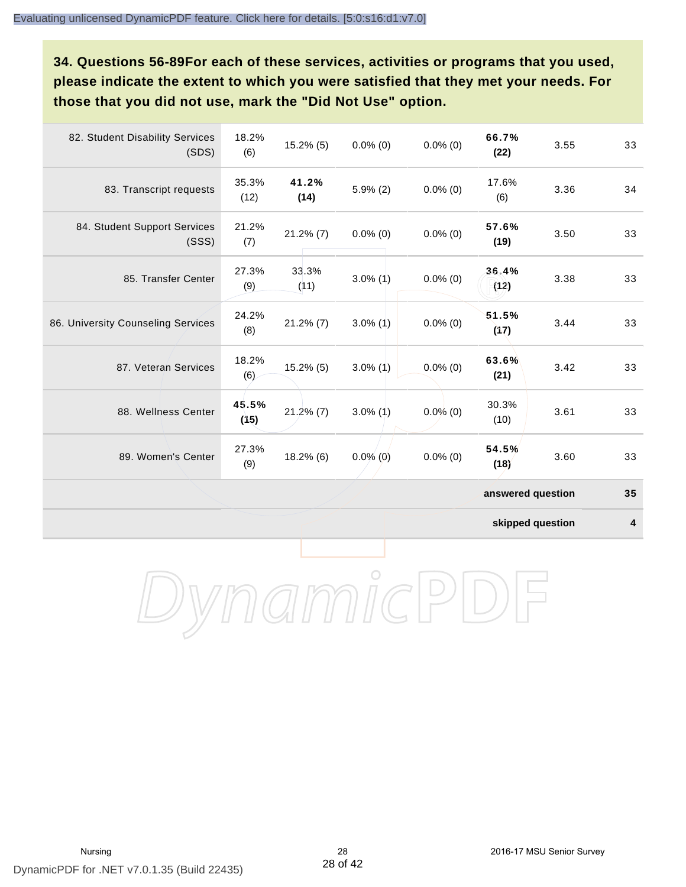**34. Questions 56-89For each of these services, activities or programs that you used, please indicate the extent to which you were satisfied that they met your needs. For those that you did not use, mark the "Did Not Use" option.**

| 82. Student Disability Services<br>(SDS) | 18.2%<br>(6)  | $15.2\%$ (5)  | $0.0\%$ (0) | $0.0\%$ (0) | 66.7%<br>(22)     | 3.55 | 33 |
|------------------------------------------|---------------|---------------|-------------|-------------|-------------------|------|----|
| 83. Transcript requests                  | 35.3%<br>(12) | 41.2%<br>(14) | $5.9\%$ (2) | $0.0\%$ (0) | 17.6%<br>(6)      | 3.36 | 34 |
| 84. Student Support Services<br>(SSS)    | 21.2%<br>(7)  | $21.2\%$ (7)  | $0.0\%$ (0) | $0.0\%$ (0) | 57.6%<br>(19)     | 3.50 | 33 |
| 85. Transfer Center                      | 27.3%<br>(9)  | 33.3%<br>(11) | $3.0\%$ (1) | $0.0\%$ (0) | 36.4%<br>(12)     | 3.38 | 33 |
| 86. University Counseling Services       | 24.2%<br>(8)  | $21.2\%$ (7)  | $3.0\%$ (1) | $0.0\%$ (0) | 51.5%<br>(17)     | 3.44 | 33 |
| 87. Veteran Services                     | 18.2%<br>(6)  | $15.2\%$ (5)  | $3.0\%$ (1) | $0.0\%$ (0) | 63.6%<br>(21)     | 3.42 | 33 |
| 88. Wellness Center                      | 45.5%<br>(15) | $21.2\%$ (7)  | $3.0\%$ (1) | $0.0\%$ (0) | 30.3%<br>(10)     | 3.61 | 33 |
| 89. Women's Center                       | 27.3%<br>(9)  | 18.2% (6)     | $0.0\%$ (0) | $0.0\%$ (0) | 54.5%<br>(18)     | 3.60 | 33 |
|                                          |               |               |             |             | answered question |      | 35 |

**skipped question 4**

DynamicPDF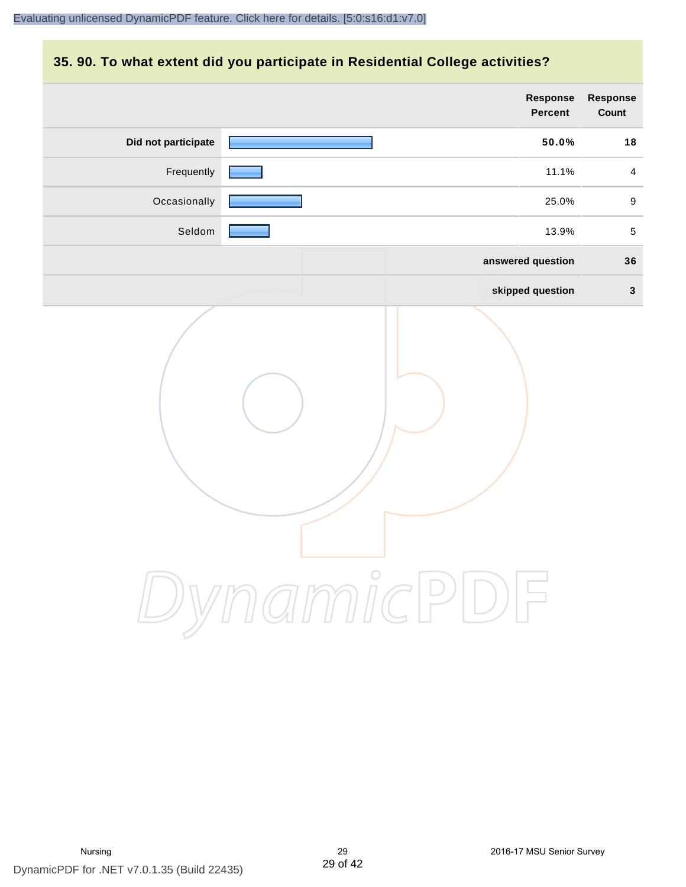## **35. 90. To what extent did you participate in Residential College activities?**

|                     | Response<br>Percent | Response<br>Count |
|---------------------|---------------------|-------------------|
| Did not participate | 50.0%               | 18                |
| Frequently          | 11.1%               | $\overline{4}$    |
| Occasionally        | 25.0%               | 9                 |
| Seldom              | 13.9%               | $5\phantom{.0}$   |
|                     | answered question   | 36                |
|                     | skipped question    | $\mathbf{3}$      |
|                     | ynamicPD            |                   |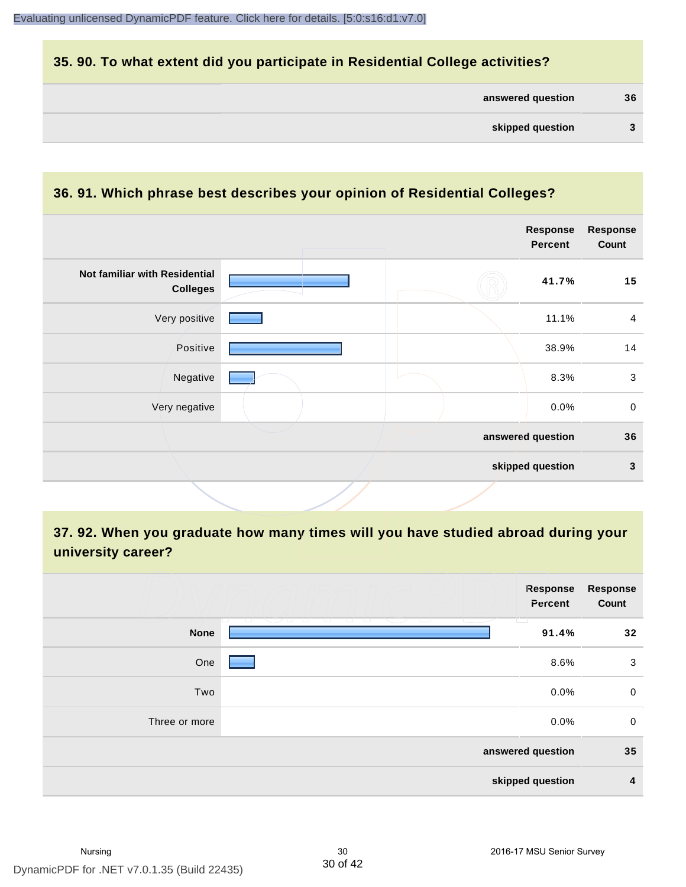## **35. 90. To what extent did you participate in Residential College activities?**

| answered question | 36 |
|-------------------|----|
|-------------------|----|

# **36. 91. Which phrase best describes your opinion of Residential Colleges?**

|                                                  |  | <b>Response</b><br><b>Percent</b> | <b>Response</b><br>Count |
|--------------------------------------------------|--|-----------------------------------|--------------------------|
| Not familiar with Residential<br><b>Colleges</b> |  | 41.7%                             | 15                       |
| Very positive                                    |  | 11.1%                             | $\overline{4}$           |
| Positive                                         |  | 38.9%                             | 14                       |
| Negative                                         |  | 8.3%                              | $\mathbf{3}$             |
| Very negative                                    |  | 0.0%                              | $\mathbf 0$              |
|                                                  |  | answered question                 | 36                       |
|                                                  |  | skipped question                  | $\mathbf{3}$             |

# **37. 92. When you graduate how many times will you have studied abroad during your university career?**

|                  | Response<br>Percent                             | <b>Response</b><br>Count |  |
|------------------|-------------------------------------------------|--------------------------|--|
| <b>None</b>      | T.<br><u>u voo</u><br><b>TELESCOPE</b><br>91.4% | 32                       |  |
| One              | 8.6%                                            | 3                        |  |
| Two              | 0.0%                                            | $\mathbf 0$              |  |
| Three or more    | 0.0%                                            | $\mathbf 0$              |  |
|                  | answered question                               |                          |  |
| skipped question |                                                 |                          |  |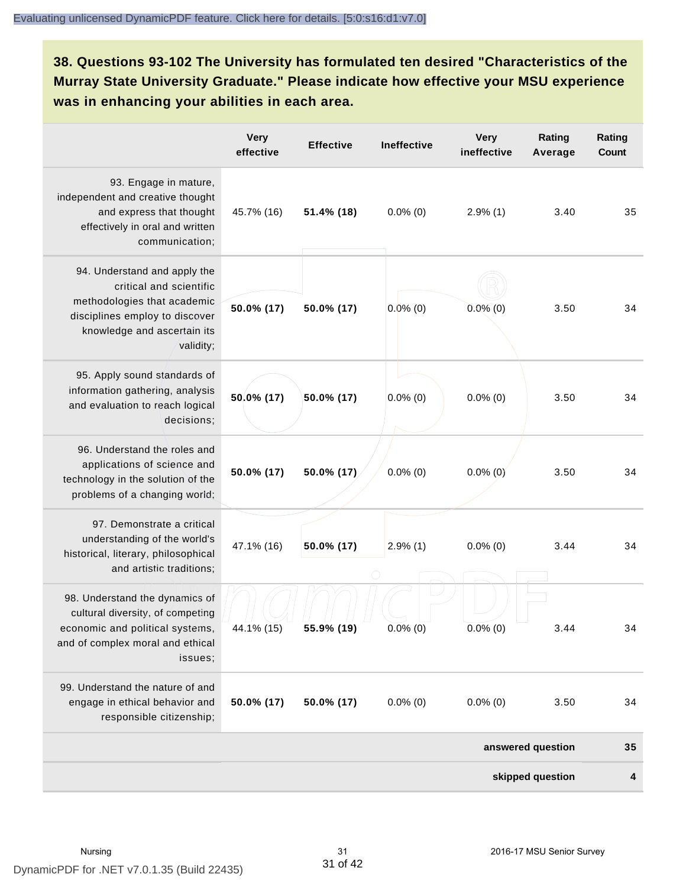**38. Questions 93-102 The University has formulated ten desired "Characteristics of the Murray State University Graduate." Please indicate how effective your MSU experience was in enhancing your abilities in each area.**

|                                                                                                                                                                      | <b>Very</b><br>effective | <b>Effective</b> | <b>Ineffective</b> | <b>Very</b><br>ineffective | Rating<br>Average | Rating<br>Count |
|----------------------------------------------------------------------------------------------------------------------------------------------------------------------|--------------------------|------------------|--------------------|----------------------------|-------------------|-----------------|
| 93. Engage in mature,<br>independent and creative thought<br>and express that thought<br>effectively in oral and written<br>communication;                           | 45.7% (16)               | 51.4% (18)       | $0.0\%$ (0)        | $2.9\%$ (1)                | 3.40              | 35              |
| 94. Understand and apply the<br>critical and scientific<br>methodologies that academic<br>disciplines employ to discover<br>knowledge and ascertain its<br>validity; | 50.0% (17)               | 50.0% (17)       | $0.0\%$ (0)        | $0.0\%$ (0)                | 3.50              | 34              |
| 95. Apply sound standards of<br>information gathering, analysis<br>and evaluation to reach logical<br>decisions;                                                     | 50.0% (17)               | 50.0% (17)       | $0.0\%$ (0)        | $0.0\%$ (0)                | 3.50              | 34              |
| 96. Understand the roles and<br>applications of science and<br>technology in the solution of the<br>problems of a changing world;                                    | 50.0% (17)               | 50.0% (17)       | $0.0\%$ (0)        | $0.0\%$ (0)                | 3.50              | 34              |
| 97. Demonstrate a critical<br>understanding of the world's<br>historical, literary, philosophical<br>and artistic traditions;                                        | 47.1% (16)               | 50.0% (17)       | $2.9\%$ (1)        | $0.0\%$ (0)                | 3.44              | 34              |
| 98. Understand the dynamics of<br>cultural diversity, of competing<br>economic and political systems,<br>and of complex moral and ethical<br>issues;                 | 44.1% (15)               | 55.9% (19)       | $0.0\%$ (0)        | $0.0\%$ (0)                | 3.44              | 34              |
| 99. Understand the nature of and<br>engage in ethical behavior and<br>responsible citizenship;                                                                       | 50.0% (17)               | 50.0% (17)       | $0.0\%$ (0)        | $0.0\%$ (0)                | 3.50              | 34              |
|                                                                                                                                                                      |                          |                  |                    |                            | answered question | 35              |
|                                                                                                                                                                      |                          |                  |                    |                            | skipped question  | 4               |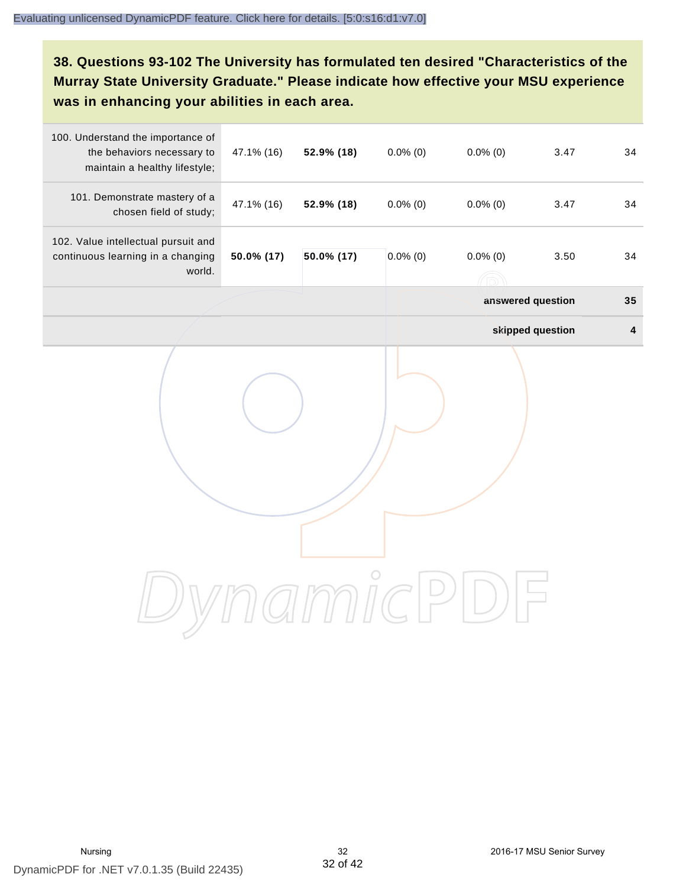# **38. Questions 93-102 The University has formulated ten desired "Characteristics of the Murray State University Graduate." Please indicate how effective your MSU experience was in enhancing your abilities in each area.**

| 100. Understand the importance of<br>the behaviors necessary to<br>maintain a healthy lifestyle; | 47.1% (16) | 52.9% (18) | $0.0\%$ (0) | $0.0\%$ (0)       | 3.47             | 34        |
|--------------------------------------------------------------------------------------------------|------------|------------|-------------|-------------------|------------------|-----------|
| 101. Demonstrate mastery of a<br>chosen field of study;                                          | 47.1% (16) | 52.9% (18) | $0.0\%$ (0) | $0.0\%$ (0)       | 3.47             | 34        |
| 102. Value intellectual pursuit and<br>continuous learning in a changing<br>world.               | 50.0% (17) | 50.0% (17) | $0.0\%$ (0) | $0.0\%$ (0)       | 3.50             | 34        |
|                                                                                                  |            |            |             | answered question |                  | 35        |
|                                                                                                  |            |            |             |                   | skipped question | $\pmb{4}$ |
|                                                                                                  |            |            |             |                   |                  |           |
|                                                                                                  |            |            |             |                   |                  |           |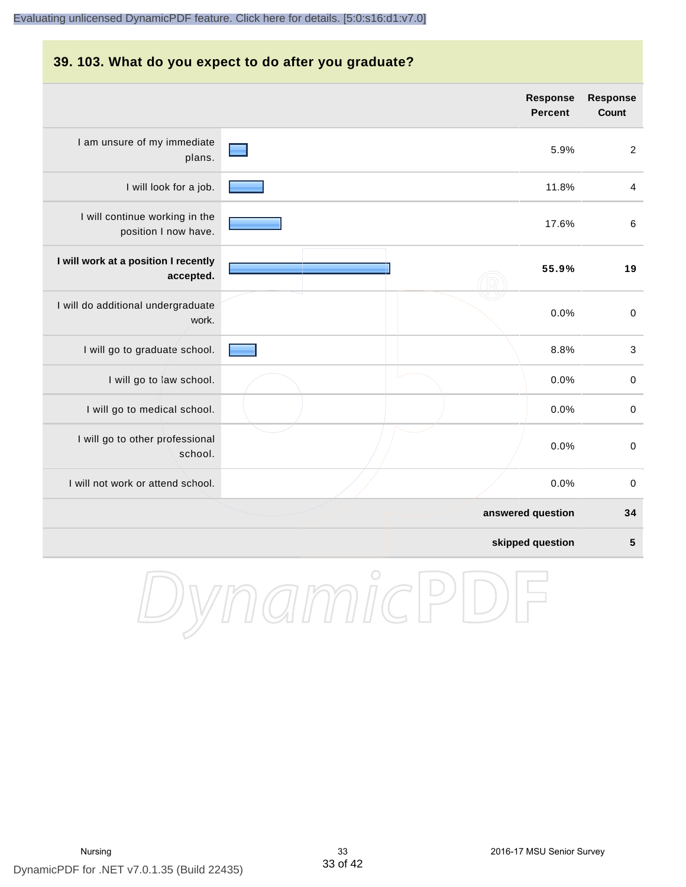#### **39. 103. What do you expect to do after you graduate?**

|                                                        | <b>Response</b><br><b>Percent</b> | <b>Response</b><br><b>Count</b> |
|--------------------------------------------------------|-----------------------------------|---------------------------------|
| I am unsure of my immediate<br>plans.                  | 5.9%                              | 2                               |
| I will look for a job.                                 | 11.8%                             | $\overline{\mathbf{4}}$         |
| I will continue working in the<br>position I now have. | 17.6%                             | $\,6\,$                         |
| I will work at a position I recently<br>accepted.      | 55.9%                             | 19                              |
| I will do additional undergraduate<br>work.            | 0.0%                              | $\mathbf 0$                     |
| I will go to graduate school.                          | 8.8%                              | $\ensuremath{\mathsf{3}}$       |
| I will go to law school.                               | 0.0%                              | $\pmb{0}$                       |
| I will go to medical school.                           | 0.0%                              | $\boldsymbol{0}$                |
| I will go to other professional<br>school.             | 0.0%                              | $\mathbf 0$                     |
| I will not work or attend school.                      | 0.0%                              | $\mathbf 0$                     |
|                                                        | answered question                 | 34                              |
|                                                        | skipped question                  | 5                               |

DynamicPDF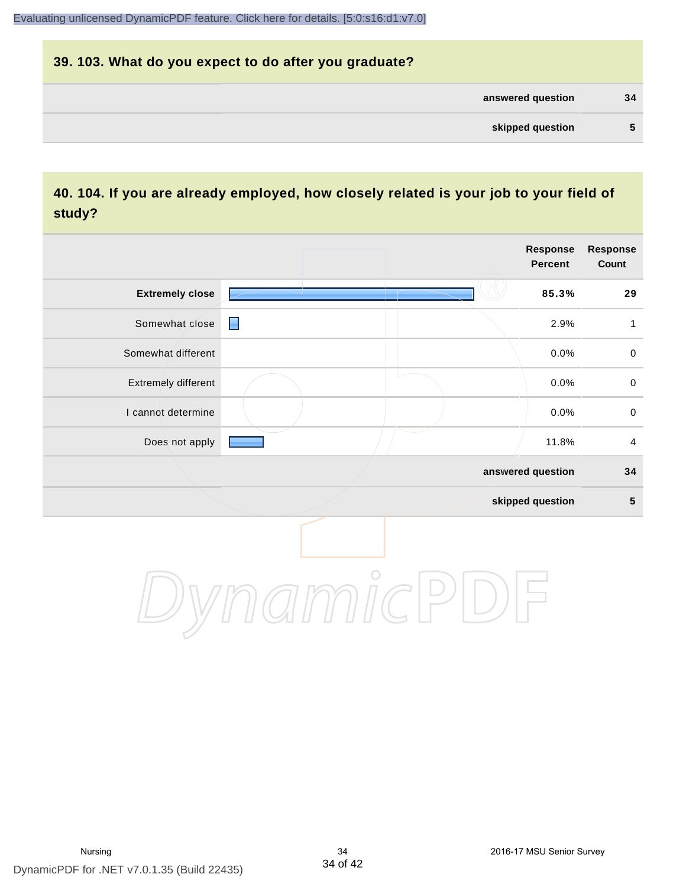# **39. 103. What do you expect to do after you graduate? answered question 34 skipped question 5**

# **40. 104. If you are already employed, how closely related is your job to your field of study?**

|                        |                | <b>Response</b><br><b>Percent</b> | <b>Response</b><br>Count |
|------------------------|----------------|-----------------------------------|--------------------------|
| <b>Extremely close</b> |                | 85.3%                             | 29                       |
| Somewhat close         | $\blacksquare$ | 2.9%                              | 1                        |
| Somewhat different     |                | 0.0%                              | $\mathbf 0$              |
| Extremely different    |                | 0.0%                              | $\mathbf 0$              |
| I cannot determine     |                | 0.0%                              | $\,0\,$                  |
| Does not apply         |                | 11.8%                             | 4                        |
|                        |                | answered question                 | 34                       |
|                        |                | skipped question                  | ${\bf 5}$                |
|                        |                |                                   |                          |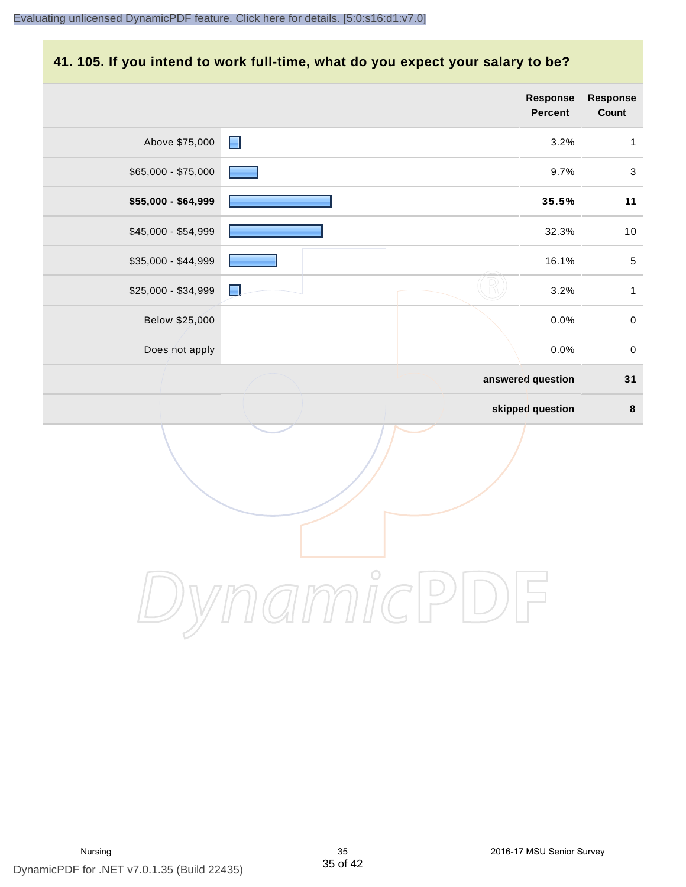#### **41. 105. If you intend to work full-time, what do you expect your salary to be?**

|                     |                | Response<br>Percent | Response<br>Count |
|---------------------|----------------|---------------------|-------------------|
| Above \$75,000      | $\blacksquare$ | 3.2%                | $\mathbf{1}$      |
| $$65,000 - $75,000$ |                | 9.7%                | $\mathbf{3}$      |
| \$55,000 - \$64,999 |                | 35.5%               | 11                |
| \$45,000 - \$54,999 |                | 32.3%               | $10$              |
| \$35,000 - \$44,999 |                | 16.1%               | $\sqrt{5}$        |
| \$25,000 - \$34,999 | н              | 3.2%                | $\mathbf{1}$      |
| Below \$25,000      |                | 0.0%                | $\mathbf 0$       |
| Does not apply      |                | 0.0%                | $\,0\,$           |
|                     |                | answered question   | 31                |
|                     |                | skipped question    | $\pmb{8}$         |
|                     |                |                     |                   |
|                     | $\bigcirc$     |                     |                   |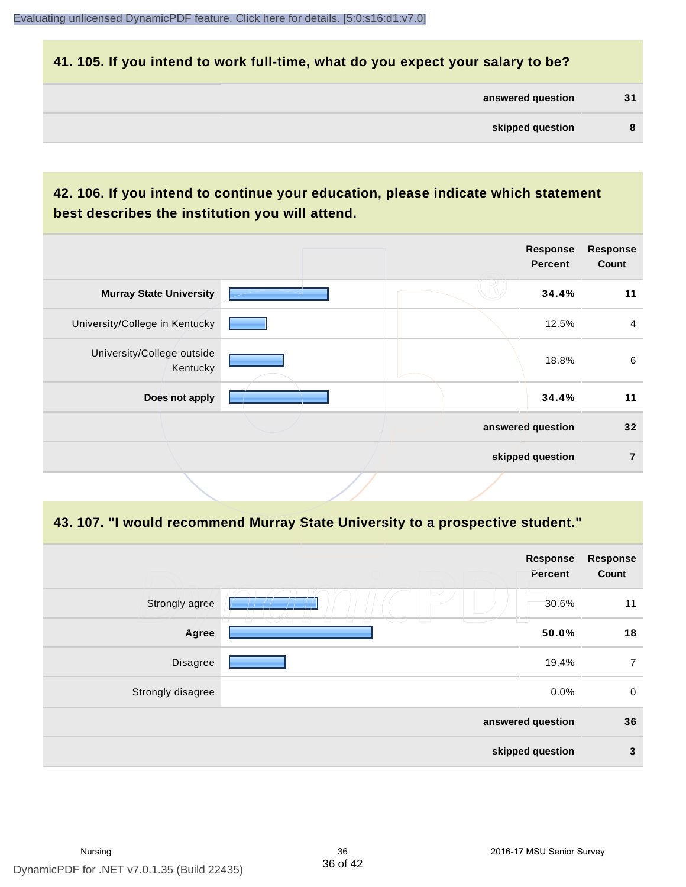#### **41. 105. If you intend to work full-time, what do you expect your salary to be?**

| answered question | 31 |
|-------------------|----|
|                   |    |

# **42. 106. If you intend to continue your education, please indicate which statement best describes the institution you will attend.**

|                                        |  | <b>Response</b><br><b>Percent</b> | <b>Response</b><br>Count |
|----------------------------------------|--|-----------------------------------|--------------------------|
| <b>Murray State University</b>         |  | 34.4%                             | 11                       |
| University/College in Kentucky         |  | 12.5%                             | $\overline{4}$           |
| University/College outside<br>Kentucky |  | 18.8%                             | 6                        |
| Does not apply                         |  | 34.4%                             | 11                       |
|                                        |  | answered question                 | 32                       |
|                                        |  | skipped question                  | 7                        |
|                                        |  |                                   |                          |

#### **43. 107. "I would recommend Murray State University to a prospective student."**

| <b>Response</b><br>Count | <b>Response</b><br>Percent                            |                   |
|--------------------------|-------------------------------------------------------|-------------------|
| 11                       | 30.6%                                                 | Strongly agree    |
| 18                       | m<br>المال المالي<br>T T<br>$\sqrt{2}$<br>--<br>50.0% | Agree             |
| $\overline{7}$           | 19.4%                                                 | Disagree          |
| 0                        | 0.0%                                                  | Strongly disagree |
| 36                       | answered question                                     |                   |
| 3                        | skipped question                                      |                   |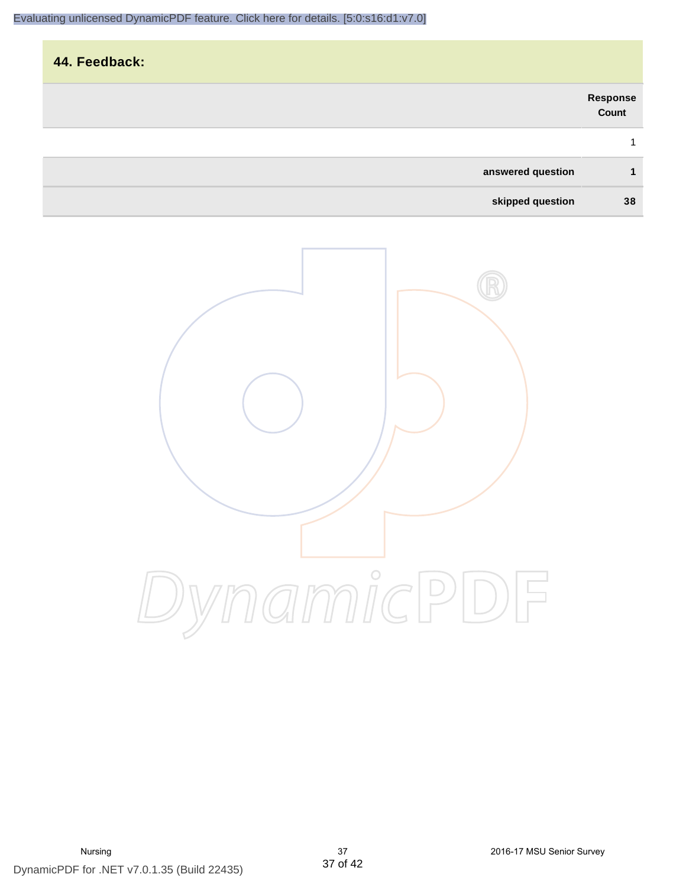| 44. Feedback:     |                   |
|-------------------|-------------------|
|                   | Response<br>Count |
|                   | 1                 |
| answered question | 1                 |
| skipped question  | 38                |

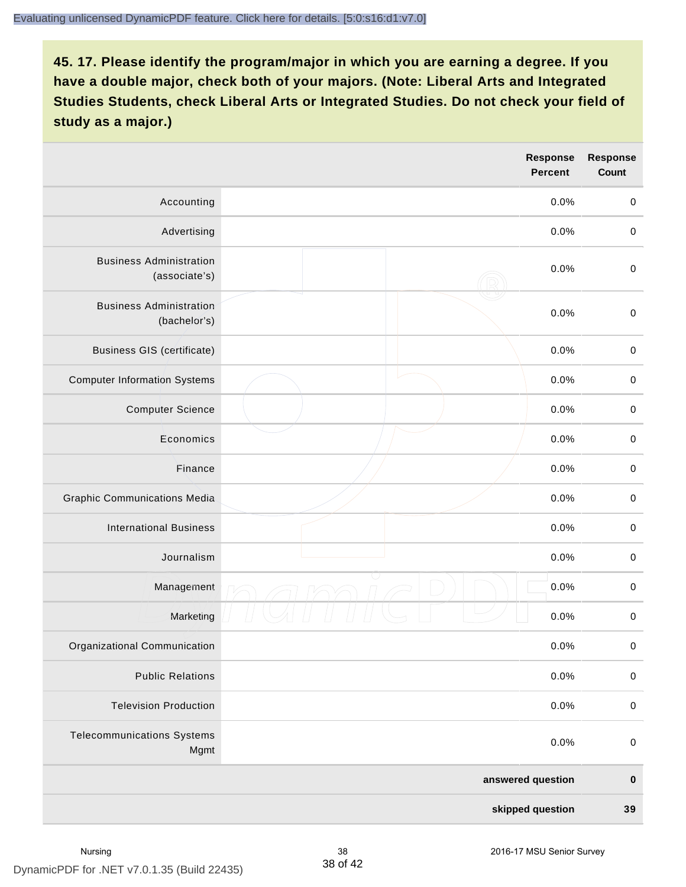|                                                 | <b>Response</b><br><b>Percent</b> | <b>Response</b><br>Count |
|-------------------------------------------------|-----------------------------------|--------------------------|
| Accounting                                      | 0.0%                              | $\mathbf 0$              |
| Advertising                                     | 0.0%                              | $\mathbf 0$              |
| <b>Business Administration</b><br>(associate's) | 0.0%                              | $\mathbf 0$              |
| <b>Business Administration</b><br>(bachelor's)  | 0.0%                              | $\mathbf 0$              |
| <b>Business GIS (certificate)</b>               | 0.0%                              | $\mathbf 0$              |
| <b>Computer Information Systems</b>             | 0.0%                              | $\mathbf 0$              |
| <b>Computer Science</b>                         | 0.0%                              | $\pmb{0}$                |
| Economics                                       | 0.0%                              | $\mathbf 0$              |
| Finance                                         | 0.0%                              | $\mathbf 0$              |
| <b>Graphic Communications Media</b>             | 0.0%                              | $\pmb{0}$                |
| <b>International Business</b>                   | 0.0%                              | $\mathbf 0$              |
| Journalism                                      | 0.0%                              | $\pmb{0}$                |
| Management                                      | 0.0%                              | $\pmb{0}$                |
| Marketing                                       | 0.0%                              | 0                        |
| Organizational Communication                    | 0.0%                              | $\pmb{0}$                |
| <b>Public Relations</b>                         | 0.0%                              | $\pmb{0}$                |
| <b>Television Production</b>                    | 0.0%                              | $\pmb{0}$                |
| <b>Telecommunications Systems</b><br>Mgmt       | 0.0%                              | $\mathbf 0$              |
|                                                 | answered question                 | $\pmb{0}$                |
|                                                 | skipped question                  | $39$                     |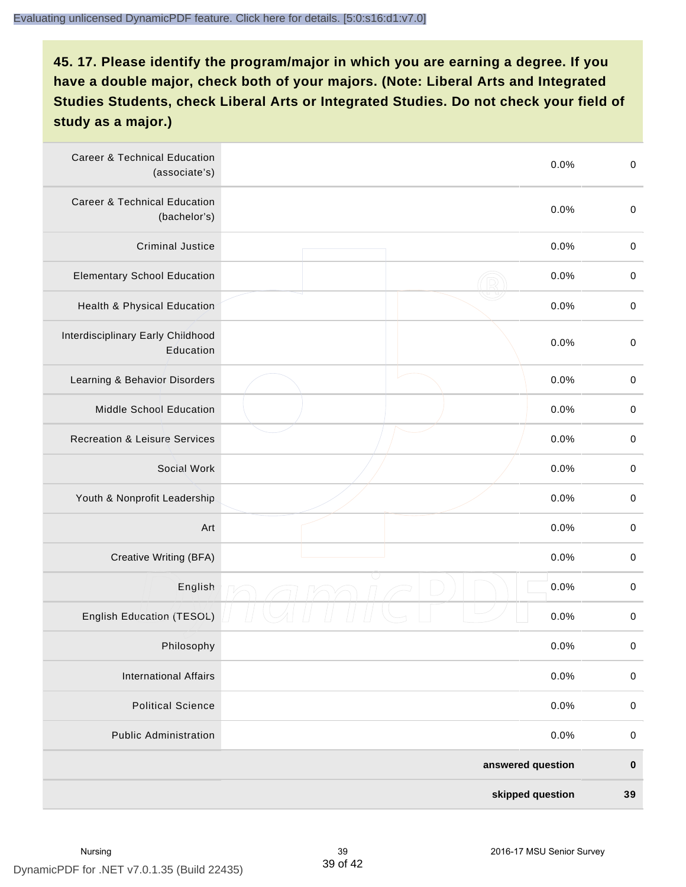| <b>Career &amp; Technical Education</b><br>(associate's) | 0.0%              | $\pmb{0}$   |
|----------------------------------------------------------|-------------------|-------------|
| <b>Career &amp; Technical Education</b><br>(bachelor's)  | 0.0%              | $\mathbf 0$ |
| <b>Criminal Justice</b>                                  | 0.0%              | $\pmb{0}$   |
| <b>Elementary School Education</b>                       | 0.0%              | $\,0\,$     |
| Health & Physical Education                              | 0.0%              | $\pmb{0}$   |
| Interdisciplinary Early Childhood<br>Education           | 0.0%              | $\pmb{0}$   |
| Learning & Behavior Disorders                            | 0.0%              | $\pmb{0}$   |
| <b>Middle School Education</b>                           | 0.0%              | $\pmb{0}$   |
| <b>Recreation &amp; Leisure Services</b>                 | 0.0%              | $\pmb{0}$   |
| Social Work                                              | 0.0%              | $\,0\,$     |
| Youth & Nonprofit Leadership                             | 0.0%              | $\pmb{0}$   |
| Art                                                      | 0.0%              | $\pmb{0}$   |
| Creative Writing (BFA)                                   | 0.0%              | $\mathbf 0$ |
| English                                                  | 0.0%              | $\pmb{0}$   |
| English Education (TESOL)                                | 0.0%              | 0           |
| Philosophy                                               | 0.0%              | 0           |
| <b>International Affairs</b>                             | 0.0%              | $\pmb{0}$   |
| <b>Political Science</b>                                 | 0.0%              | $\pmb{0}$   |
| <b>Public Administration</b>                             | 0.0%              | $\pmb{0}$   |
|                                                          | answered question | $\pmb{0}$   |
|                                                          | skipped question  | 39          |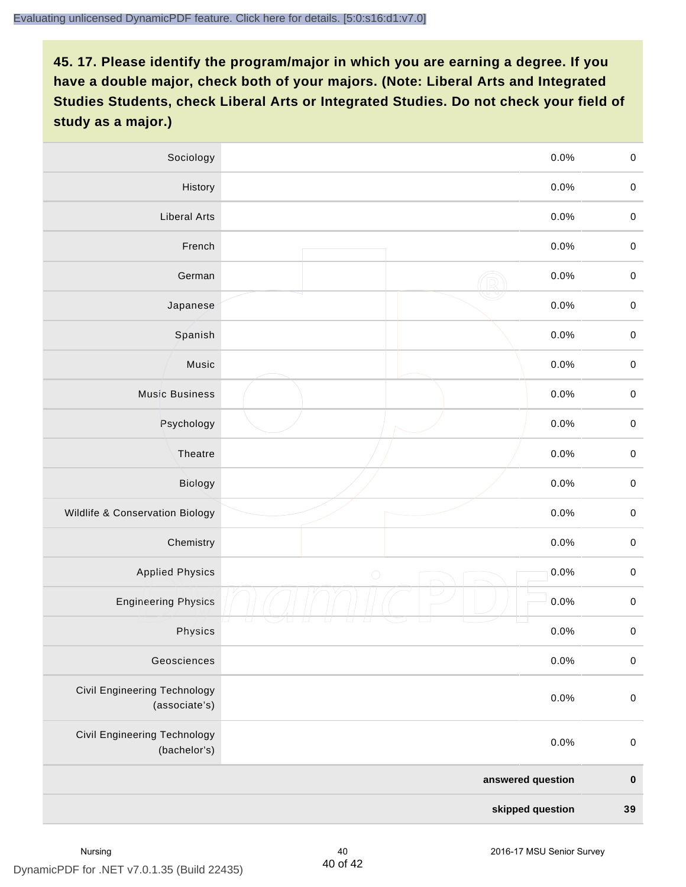| Sociology                                     |                   | 0.0%    | $\mathbf 0$ |
|-----------------------------------------------|-------------------|---------|-------------|
| History                                       |                   | $0.0\%$ | $\mathbf 0$ |
| <b>Liberal Arts</b>                           |                   | 0.0%    | $\mathbf 0$ |
| French                                        |                   | 0.0%    | $\pmb{0}$   |
| German                                        |                   | 0.0%    | $\mathbf 0$ |
| Japanese                                      |                   | 0.0%    | $\mathbf 0$ |
| Spanish                                       |                   | 0.0%    | $\mathbf 0$ |
| Music                                         |                   | 0.0%    | $\mathbf 0$ |
| <b>Music Business</b>                         |                   | 0.0%    | $\pmb{0}$   |
| Psychology                                    |                   | 0.0%    | $\mathbf 0$ |
| Theatre                                       |                   | 0.0%    | $\mathbf 0$ |
| Biology                                       |                   | 0.0%    | $\mathbf 0$ |
| Wildlife & Conservation Biology               |                   | 0.0%    | $\mathbf 0$ |
| Chemistry                                     |                   | 0.0%    | $\pmb{0}$   |
| <b>Applied Physics</b>                        | $\bigcirc$        | 0.0%    | $\mathbf 0$ |
| <b>Engineering Physics</b>                    |                   | 0.0%    | $\mathbf 0$ |
| Physics                                       |                   | 0.0%    | $\mathbf 0$ |
| Geosciences                                   |                   | 0.0%    | $\mathbf 0$ |
| Civil Engineering Technology<br>(associate's) |                   | 0.0%    | $\pmb{0}$   |
| Civil Engineering Technology<br>(bachelor's)  |                   | 0.0%    | $\pmb{0}$   |
|                                               | answered question |         | $\pmb{0}$   |
|                                               | skipped question  |         | 39          |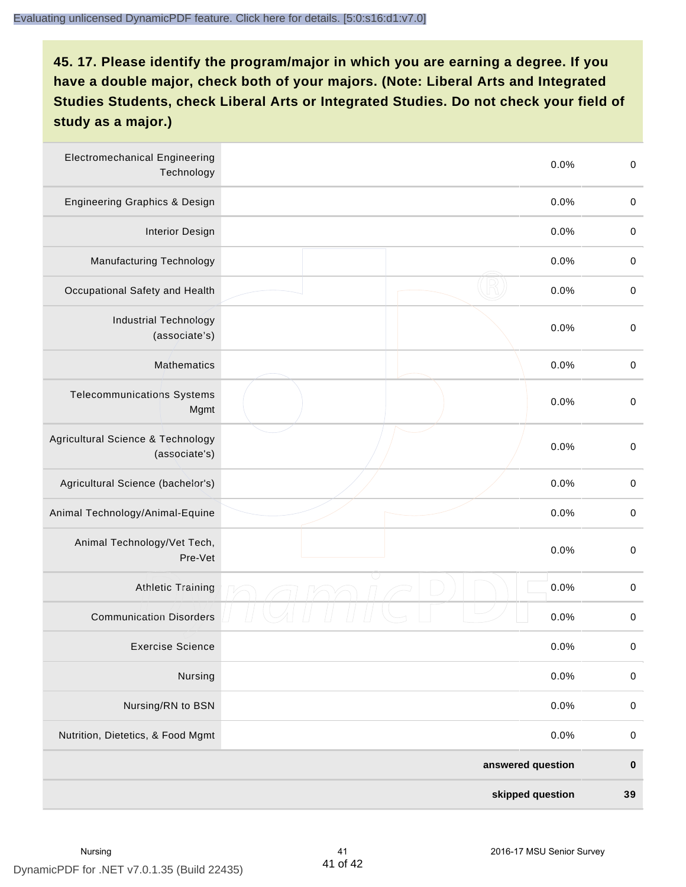| <b>Electromechanical Engineering</b><br>Technology | 0.0%              | $\mathbf 0$ |
|----------------------------------------------------|-------------------|-------------|
| <b>Engineering Graphics &amp; Design</b>           | 0.0%              | $\mathbf 0$ |
| <b>Interior Design</b>                             | 0.0%              | $\pmb{0}$   |
| Manufacturing Technology                           | 0.0%              | $\pmb{0}$   |
| Occupational Safety and Health                     | 0.0%              | $\pmb{0}$   |
| <b>Industrial Technology</b><br>(associate's)      | 0.0%              | $\pmb{0}$   |
| <b>Mathematics</b>                                 | 0.0%              | $\pmb{0}$   |
| <b>Telecommunications Systems</b><br>Mgmt          | 0.0%              | $\pmb{0}$   |
| Agricultural Science & Technology<br>(associate's) | 0.0%              | $\mathbf 0$ |
| Agricultural Science (bachelor's)                  | 0.0%              | $\mathbf 0$ |
| Animal Technology/Animal-Equine                    | 0.0%              | $\pmb{0}$   |
| Animal Technology/Vet Tech,<br>Pre-Vet             | 0.0%              | $\pmb{0}$   |
| <b>Athletic Training</b>                           | 0.0%              | $\pmb{0}$   |
| <b>Communication Disorders</b>                     | 0.0%              | $\pmb{0}$   |
| <b>Exercise Science</b>                            | 0.0%              | $\pmb{0}$   |
| Nursing                                            | 0.0%              | $\mathbf 0$ |
| Nursing/RN to BSN                                  | 0.0%              | $\pmb{0}$   |
| Nutrition, Dietetics, & Food Mgmt                  | 0.0%              | $\,0\,$     |
|                                                    | answered question | $\pmb{0}$   |
|                                                    | skipped question  | 39          |